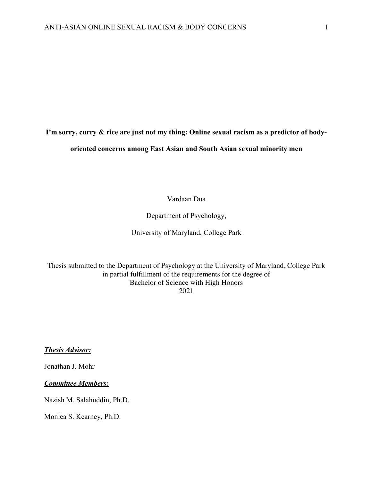**I'm sorry, curry & rice are just not my thing: Online sexual racism as a predictor of bodyoriented concerns among East Asian and South Asian sexual minority men**

Vardaan Dua

Department of Psychology,

University of Maryland, College Park

Thesis submitted to the Department of Psychology at the University of Maryland, College Park in partial fulfillment of the requirements for the degree of Bachelor of Science with High Honors 2021

*Thesis Advisor:* 

Jonathan J. Mohr

*Committee Members:*

Nazish M. Salahuddin, Ph.D.

Monica S. Kearney, Ph.D.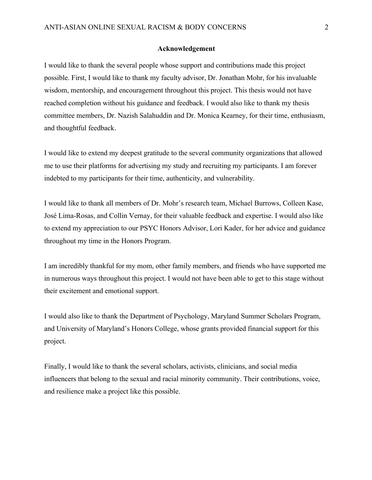#### **Acknowledgement**

I would like to thank the several people whose support and contributions made this project possible. First, I would like to thank my faculty advisor, Dr. Jonathan Mohr, for his invaluable wisdom, mentorship, and encouragement throughout this project. This thesis would not have reached completion without his guidance and feedback. I would also like to thank my thesis committee members, Dr. Nazish Salahuddin and Dr. Monica Kearney, for their time, enthusiasm, and thoughtful feedback.

I would like to extend my deepest gratitude to the several community organizations that allowed me to use their platforms for advertising my study and recruiting my participants. I am forever indebted to my participants for their time, authenticity, and vulnerability.

I would like to thank all members of Dr. Mohr's research team, Michael Burrows, Colleen Kase, José Lima-Rosas, and Collin Vernay, for their valuable feedback and expertise. I would also like to extend my appreciation to our PSYC Honors Advisor, Lori Kader, for her advice and guidance throughout my time in the Honors Program.

I am incredibly thankful for my mom, other family members, and friends who have supported me in numerous ways throughout this project. I would not have been able to get to this stage without their excitement and emotional support.

I would also like to thank the Department of Psychology, Maryland Summer Scholars Program, and University of Maryland's Honors College, whose grants provided financial support for this project.

Finally, I would like to thank the several scholars, activists, clinicians, and social media influencers that belong to the sexual and racial minority community. Their contributions, voice, and resilience make a project like this possible.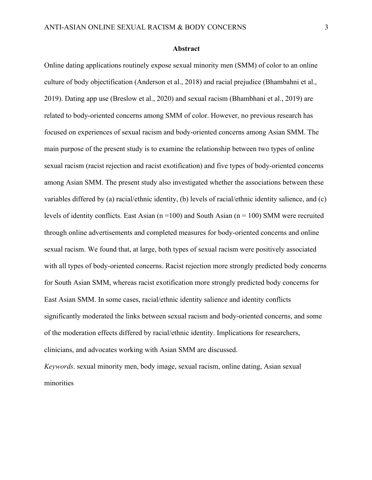#### **Abstract**

Online dating applications routinely expose sexual minority men (SMM) of color to an online culture of body objectification (Anderson et al., 2018) and racial prejudice (Bhambahni et al., 2019). Dating app use (Breslow et al., 2020) and sexual racism (Bhambhani et al., 2019) are related to body-oriented concerns among SMM of color. However, no previous research has focused on experiences of sexual racism and body-oriented concerns among Asian SMM. The main purpose of the present study is to examine the relationship between two types of online sexual racism (racist rejection and racist exotification) and five types of body-oriented concerns among Asian SMM. The present study also investigated whether the associations between these variables differed by (a) racial/ethnic identity, (b) levels of racial/ethnic identity salience, and (c) levels of identity conflicts. East Asian  $(n = 100)$  and South Asian  $(n = 100)$  SMM were recruited through online advertisements and completed measures for body-oriented concerns and online sexual racism. We found that, at large, both types of sexual racism were positively associated with all types of body-oriented concerns. Racist rejection more strongly predicted body concerns for South Asian SMM, whereas racist exotification more strongly predicted body concerns for East Asian SMM. In some cases, racial/ethnic identity salience and identity conflicts significantly moderated the links between sexual racism and body-oriented concerns, and some of the moderation effects differed by racial/ethnic identity. Implications for researchers, clinicians, and advocates working with Asian SMM are discussed.

*Keywords*. sexual minority men, body image, sexual racism, online dating, Asian sexual minorities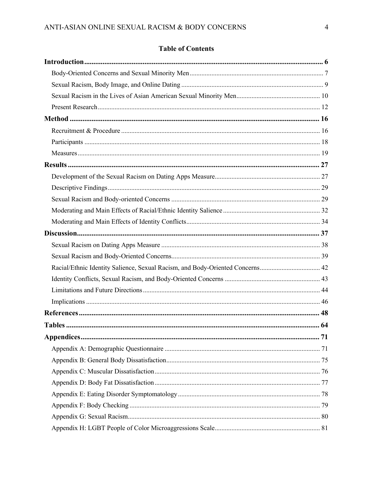# **Table of Contents**

| Racial/Ethnic Identity Salience, Sexual Racism, and Body-Oriented Concerns 42 |  |
|-------------------------------------------------------------------------------|--|
|                                                                               |  |
|                                                                               |  |
|                                                                               |  |
|                                                                               |  |
|                                                                               |  |
|                                                                               |  |
|                                                                               |  |
|                                                                               |  |
|                                                                               |  |
|                                                                               |  |
|                                                                               |  |
|                                                                               |  |
|                                                                               |  |
|                                                                               |  |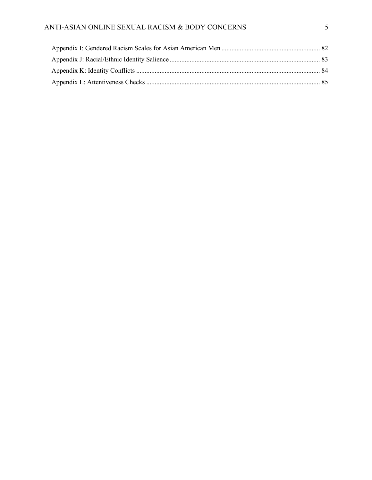## ANTI-ASIAN ONLINE SEXUAL RACISM & BODY CONCERNS 5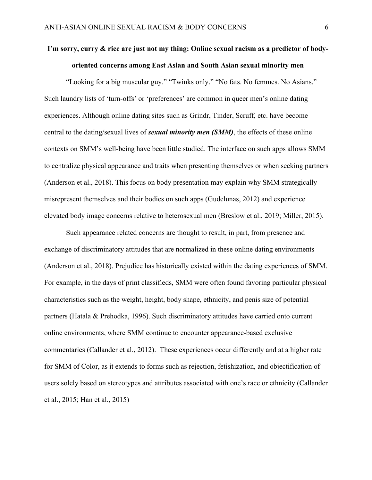# **I'm sorry, curry & rice are just not my thing: Online sexual racism as a predictor of bodyoriented concerns among East Asian and South Asian sexual minority men**

"Looking for a big muscular guy." "Twinks only." "No fats. No femmes. No Asians." Such laundry lists of 'turn-offs' or 'preferences' are common in queer men's online dating experiences. Although online dating sites such as Grindr, Tinder, Scruff, etc. have become central to the dating/sexual lives of *sexual minority men (SMM)*, the effects of these online contexts on SMM's well-being have been little studied. The interface on such apps allows SMM to centralize physical appearance and traits when presenting themselves or when seeking partners (Anderson et al., 2018). This focus on body presentation may explain why SMM strategically misrepresent themselves and their bodies on such apps (Gudelunas, 2012) and experience elevated body image concerns relative to heterosexual men (Breslow et al., 2019; Miller, 2015).

Such appearance related concerns are thought to result, in part, from presence and exchange of discriminatory attitudes that are normalized in these online dating environments (Anderson et al., 2018). Prejudice has historically existed within the dating experiences of SMM. For example, in the days of print classifieds, SMM were often found favoring particular physical characteristics such as the weight, height, body shape, ethnicity, and penis size of potential partners (Hatala & Prehodka, 1996). Such discriminatory attitudes have carried onto current online environments, where SMM continue to encounter appearance-based exclusive commentaries (Callander et al., 2012). These experiences occur differently and at a higher rate for SMM of Color, as it extends to forms such as rejection, fetishization, and objectification of users solely based on stereotypes and attributes associated with one's race or ethnicity (Callander et al., 2015; Han et al., 2015)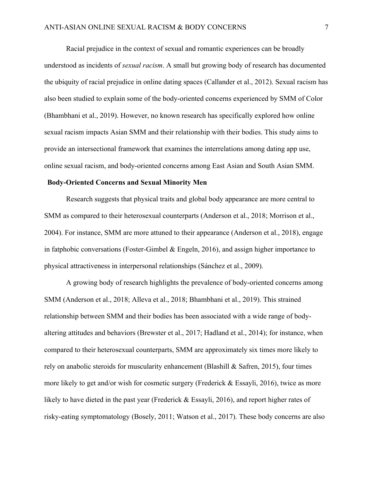Racial prejudice in the context of sexual and romantic experiences can be broadly understood as incidents of *sexual racism*. A small but growing body of research has documented the ubiquity of racial prejudice in online dating spaces (Callander et al., 2012). Sexual racism has also been studied to explain some of the body-oriented concerns experienced by SMM of Color (Bhambhani et al., 2019). However, no known research has specifically explored how online sexual racism impacts Asian SMM and their relationship with their bodies. This study aims to provide an intersectional framework that examines the interrelations among dating app use, online sexual racism, and body-oriented concerns among East Asian and South Asian SMM.

#### **Body-Oriented Concerns and Sexual Minority Men**

Research suggests that physical traits and global body appearance are more central to SMM as compared to their heterosexual counterparts (Anderson et al., 2018; Morrison et al., 2004). For instance, SMM are more attuned to their appearance (Anderson et al., 2018), engage in fatphobic conversations (Foster-Gimbel & Engeln, 2016), and assign higher importance to physical attractiveness in interpersonal relationships (Sánchez et al., 2009).

A growing body of research highlights the prevalence of body-oriented concerns among SMM (Anderson et al., 2018; Alleva et al., 2018; Bhambhani et al., 2019). This strained relationship between SMM and their bodies has been associated with a wide range of bodyaltering attitudes and behaviors (Brewster et al., 2017; Hadland et al., 2014); for instance, when compared to their heterosexual counterparts, SMM are approximately six times more likely to rely on anabolic steroids for muscularity enhancement (Blashill & Safren, 2015), four times more likely to get and/or wish for cosmetic surgery (Frederick & Essayli, 2016), twice as more likely to have dieted in the past year (Frederick & Essayli, 2016), and report higher rates of risky-eating symptomatology (Bosely, 2011; Watson et al., 2017). These body concerns are also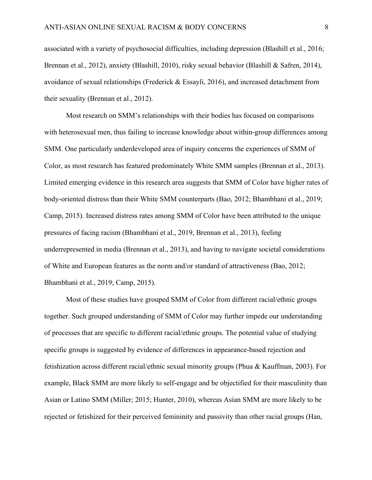associated with a variety of psychosocial difficulties, including depression (Blashill et al., 2016; Brennan et al., 2012), anxiety (Blashill, 2010), risky sexual behavior (Blashill & Safren, 2014), avoidance of sexual relationships (Frederick & Essayli, 2016), and increased detachment from their sexuality (Brennan et al., 2012).

Most research on SMM's relationships with their bodies has focused on comparisons with heterosexual men, thus failing to increase knowledge about within-group differences among SMM. One particularly underdeveloped area of inquiry concerns the experiences of SMM of Color, as most research has featured predominately White SMM samples (Brennan et al., 2013). Limited emerging evidence in this research area suggests that SMM of Color have higher rates of body-oriented distress than their White SMM counterparts (Bao, 2012; Bhambhani et al., 2019; Camp, 2015). Increased distress rates among SMM of Color have been attributed to the unique pressures of facing racism (Bhambhani et al., 2019, Brennan et al., 2013), feeling underrepresented in media (Brennan et al., 2013), and having to navigate societal considerations of White and European features as the norm and/or standard of attractiveness (Bao, 2012; Bhambhani et al., 2019; Camp, 2015).

Most of these studies have grouped SMM of Color from different racial/ethnic groups together. Such grouped understanding of SMM of Color may further impede our understanding of processes that are specific to different racial/ethnic groups. The potential value of studying specific groups is suggested by evidence of differences in appearance-based rejection and fetishization across different racial/ethnic sexual minority groups (Phua & Kauffman, 2003). For example, Black SMM are more likely to self-engage and be objectified for their masculinity than Asian or Latino SMM (Miller; 2015; Hunter, 2010), whereas Asian SMM are more likely to be rejected or fetishized for their perceived femininity and passivity than other racial groups (Han,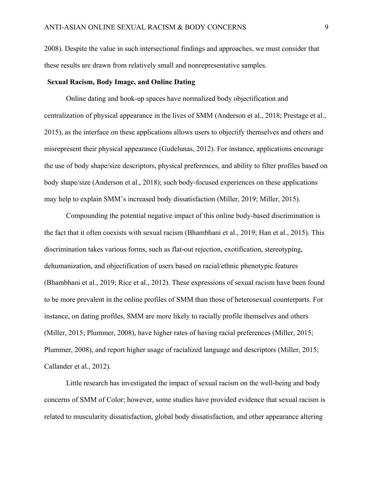2008). Despite the value in such intersectional findings and approaches, we must consider that these results are drawn from relatively small and nonrepresentative samples.

#### **Sexual Racism, Body Image, and Online Dating**

Online dating and hook-up spaces have normalized body objectification and centralization of physical appearance in the lives of SMM (Anderson et al., 2018; Prestage et al., 2015), as the interface on these applications allows users to objectify themselves and others and misrepresent their physical appearance (Gudelunas, 2012). For instance, applications encourage the use of body shape/size descriptors, physical preferences, and ability to filter profiles based on body shape/size (Anderson et al., 2018); such body-focused experiences on these applications may help to explain SMM's increased body dissatisfaction (Miller, 2019; Miller, 2015).

Compounding the potential negative impact of this online body-based discrimination is the fact that it often coexists with sexual racism (Bhambhani et al., 2019; Han et al., 2015). This discrimination takes various forms, such as flat-out rejection, exotification, stereotyping, dehumanization, and objectification of users based on racial/ethnic phenotypic features (Bhambhani et al., 2019; Rice et al., 2012). These expressions of sexual racism have been found to be more prevalent in the online profiles of SMM than those of heterosexual counterparts. For instance, on dating profiles, SMM are more likely to racially profile themselves and others (Miller, 2015; Plummer, 2008), have higher rates of having racial preferences (Miller, 2015; Plummer, 2008), and report higher usage of racialized language and descriptors (Miller, 2015; Callander et al., 2012).

Little research has investigated the impact of sexual racism on the well-being and body concerns of SMM of Color; however, some studies have provided evidence that sexual racism is related to muscularity dissatisfaction, global body dissatisfaction, and other appearance altering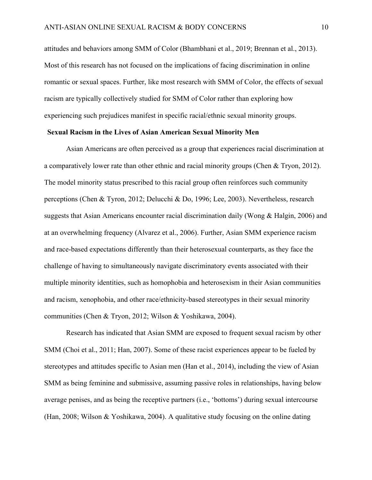attitudes and behaviors among SMM of Color (Bhambhani et al., 2019; Brennan et al., 2013). Most of this research has not focused on the implications of facing discrimination in online romantic or sexual spaces. Further, like most research with SMM of Color, the effects of sexual racism are typically collectively studied for SMM of Color rather than exploring how experiencing such prejudices manifest in specific racial/ethnic sexual minority groups.

### **Sexual Racism in the Lives of Asian American Sexual Minority Men**

Asian Americans are often perceived as a group that experiences racial discrimination at a comparatively lower rate than other ethnic and racial minority groups (Chen & Tryon, 2012). The model minority status prescribed to this racial group often reinforces such community perceptions (Chen & Tyron, 2012; Delucchi & Do, 1996; Lee, 2003). Nevertheless, research suggests that Asian Americans encounter racial discrimination daily (Wong & Halgin, 2006) and at an overwhelming frequency (Alvarez et al., 2006). Further, Asian SMM experience racism and race-based expectations differently than their heterosexual counterparts, as they face the challenge of having to simultaneously navigate discriminatory events associated with their multiple minority identities, such as homophobia and heterosexism in their Asian communities and racism, xenophobia, and other race/ethnicity-based stereotypes in their sexual minority communities (Chen & Tryon, 2012; Wilson & Yoshikawa, 2004).

Research has indicated that Asian SMM are exposed to frequent sexual racism by other SMM (Choi et al., 2011; Han, 2007). Some of these racist experiences appear to be fueled by stereotypes and attitudes specific to Asian men (Han et al., 2014), including the view of Asian SMM as being feminine and submissive, assuming passive roles in relationships, having below average penises, and as being the receptive partners (i.e., 'bottoms') during sexual intercourse (Han, 2008; Wilson & Yoshikawa, 2004). A qualitative study focusing on the online dating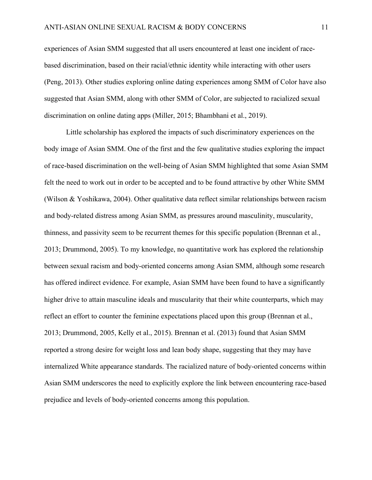experiences of Asian SMM suggested that all users encountered at least one incident of racebased discrimination, based on their racial/ethnic identity while interacting with other users (Peng, 2013). Other studies exploring online dating experiences among SMM of Color have also suggested that Asian SMM, along with other SMM of Color, are subjected to racialized sexual discrimination on online dating apps (Miller, 2015; Bhambhani et al., 2019).

Little scholarship has explored the impacts of such discriminatory experiences on the body image of Asian SMM. One of the first and the few qualitative studies exploring the impact of race-based discrimination on the well-being of Asian SMM highlighted that some Asian SMM felt the need to work out in order to be accepted and to be found attractive by other White SMM (Wilson & Yoshikawa, 2004). Other qualitative data reflect similar relationships between racism and body-related distress among Asian SMM, as pressures around masculinity, muscularity, thinness, and passivity seem to be recurrent themes for this specific population (Brennan et al., 2013; Drummond, 2005). To my knowledge, no quantitative work has explored the relationship between sexual racism and body-oriented concerns among Asian SMM, although some research has offered indirect evidence. For example, Asian SMM have been found to have a significantly higher drive to attain masculine ideals and muscularity that their white counterparts, which may reflect an effort to counter the feminine expectations placed upon this group (Brennan et al., 2013; Drummond, 2005, Kelly et al., 2015). Brennan et al. (2013) found that Asian SMM reported a strong desire for weight loss and lean body shape, suggesting that they may have internalized White appearance standards. The racialized nature of body-oriented concerns within Asian SMM underscores the need to explicitly explore the link between encountering race-based prejudice and levels of body-oriented concerns among this population.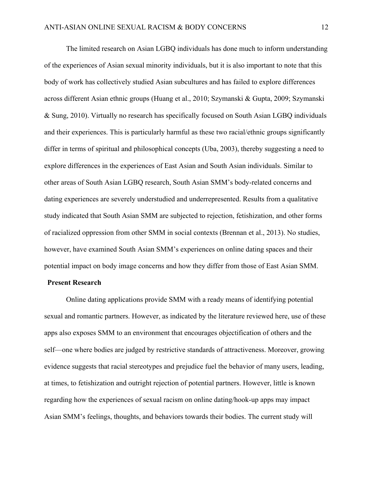The limited research on Asian LGBQ individuals has done much to inform understanding of the experiences of Asian sexual minority individuals, but it is also important to note that this body of work has collectively studied Asian subcultures and has failed to explore differences across different Asian ethnic groups (Huang et al., 2010; Szymanski & Gupta, 2009; Szymanski & Sung, 2010). Virtually no research has specifically focused on South Asian LGBQ individuals and their experiences. This is particularly harmful as these two racial/ethnic groups significantly differ in terms of spiritual and philosophical concepts (Uba, 2003), thereby suggesting a need to explore differences in the experiences of East Asian and South Asian individuals. Similar to other areas of South Asian LGBQ research, South Asian SMM's body-related concerns and dating experiences are severely understudied and underrepresented. Results from a qualitative study indicated that South Asian SMM are subjected to rejection, fetishization, and other forms of racialized oppression from other SMM in social contexts (Brennan et al., 2013). No studies, however, have examined South Asian SMM's experiences on online dating spaces and their potential impact on body image concerns and how they differ from those of East Asian SMM.

#### **Present Research**

Online dating applications provide SMM with a ready means of identifying potential sexual and romantic partners. However, as indicated by the literature reviewed here, use of these apps also exposes SMM to an environment that encourages objectification of others and the self—one where bodies are judged by restrictive standards of attractiveness. Moreover, growing evidence suggests that racial stereotypes and prejudice fuel the behavior of many users, leading, at times, to fetishization and outright rejection of potential partners. However, little is known regarding how the experiences of sexual racism on online dating/hook-up apps may impact Asian SMM's feelings, thoughts, and behaviors towards their bodies. The current study will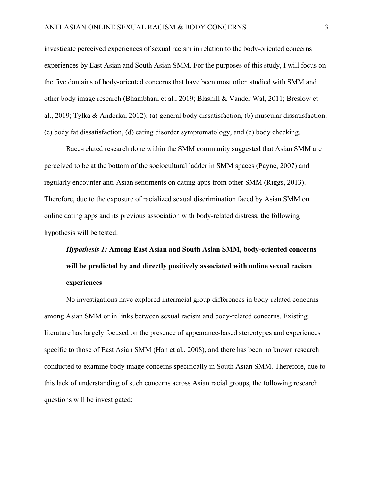investigate perceived experiences of sexual racism in relation to the body-oriented concerns experiences by East Asian and South Asian SMM. For the purposes of this study, I will focus on the five domains of body-oriented concerns that have been most often studied with SMM and other body image research (Bhambhani et al., 2019; Blashill & Vander Wal, 2011; Breslow et al., 2019; Tylka & Andorka, 2012): (a) general body dissatisfaction, (b) muscular dissatisfaction, (c) body fat dissatisfaction, (d) eating disorder symptomatology, and (e) body checking.

Race-related research done within the SMM community suggested that Asian SMM are perceived to be at the bottom of the sociocultural ladder in SMM spaces (Payne, 2007) and regularly encounter anti-Asian sentiments on dating apps from other SMM (Riggs, 2013). Therefore, due to the exposure of racialized sexual discrimination faced by Asian SMM on online dating apps and its previous association with body-related distress, the following hypothesis will be tested:

*Hypothesis 1:* **Among East Asian and South Asian SMM, body-oriented concerns will be predicted by and directly positively associated with online sexual racism experiences**

No investigations have explored interracial group differences in body-related concerns among Asian SMM or in links between sexual racism and body-related concerns. Existing literature has largely focused on the presence of appearance-based stereotypes and experiences specific to those of East Asian SMM (Han et al., 2008), and there has been no known research conducted to examine body image concerns specifically in South Asian SMM. Therefore, due to this lack of understanding of such concerns across Asian racial groups, the following research questions will be investigated: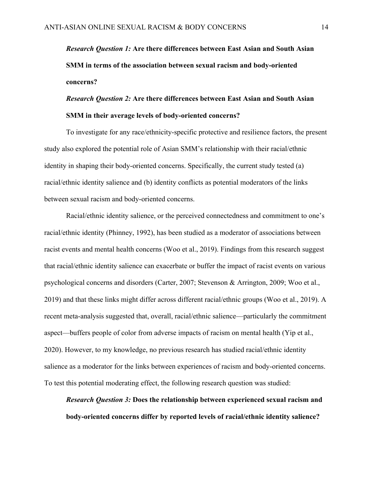*Research Question 1:* **Are there differences between East Asian and South Asian SMM in terms of the association between sexual racism and body-oriented concerns?** 

# *Research Question 2:* **Are there differences between East Asian and South Asian SMM in their average levels of body-oriented concerns?**

To investigate for any race/ethnicity-specific protective and resilience factors, the present study also explored the potential role of Asian SMM's relationship with their racial/ethnic identity in shaping their body-oriented concerns. Specifically, the current study tested (a) racial/ethnic identity salience and (b) identity conflicts as potential moderators of the links between sexual racism and body-oriented concerns.

Racial/ethnic identity salience, or the perceived connectedness and commitment to one's racial/ethnic identity (Phinney, 1992), has been studied as a moderator of associations between racist events and mental health concerns (Woo et al., 2019). Findings from this research suggest that racial/ethnic identity salience can exacerbate or buffer the impact of racist events on various psychological concerns and disorders (Carter, 2007; Stevenson & Arrington, 2009; Woo et al., 2019) and that these links might differ across different racial/ethnic groups (Woo et al., 2019). A recent meta-analysis suggested that, overall, racial/ethnic salience—particularly the commitment aspect—buffers people of color from adverse impacts of racism on mental health (Yip et al., 2020). However, to my knowledge, no previous research has studied racial/ethnic identity salience as a moderator for the links between experiences of racism and body-oriented concerns. To test this potential moderating effect, the following research question was studied:

# *Research Question 3:* **Does the relationship between experienced sexual racism and body-oriented concerns differ by reported levels of racial/ethnic identity salience?**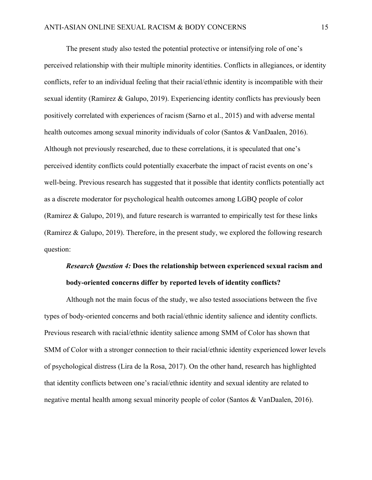The present study also tested the potential protective or intensifying role of one's perceived relationship with their multiple minority identities. Conflicts in allegiances, or identity conflicts, refer to an individual feeling that their racial/ethnic identity is incompatible with their sexual identity (Ramirez & Galupo, 2019). Experiencing identity conflicts has previously been positively correlated with experiences of racism (Sarno et al., 2015) and with adverse mental health outcomes among sexual minority individuals of color (Santos & VanDaalen, 2016). Although not previously researched, due to these correlations, it is speculated that one's perceived identity conflicts could potentially exacerbate the impact of racist events on one's well-being. Previous research has suggested that it possible that identity conflicts potentially act as a discrete moderator for psychological health outcomes among LGBQ people of color (Ramirez & Galupo, 2019), and future research is warranted to empirically test for these links (Ramirez & Galupo, 2019). Therefore, in the present study, we explored the following research question:

# *Research Question 4:* **Does the relationship between experienced sexual racism and body-oriented concerns differ by reported levels of identity conflicts?**

Although not the main focus of the study, we also tested associations between the five types of body-oriented concerns and both racial/ethnic identity salience and identity conflicts. Previous research with racial/ethnic identity salience among SMM of Color has shown that SMM of Color with a stronger connection to their racial/ethnic identity experienced lower levels of psychological distress (Lira de la Rosa, 2017). On the other hand, research has highlighted that identity conflicts between one's racial/ethnic identity and sexual identity are related to negative mental health among sexual minority people of color (Santos & VanDaalen, 2016).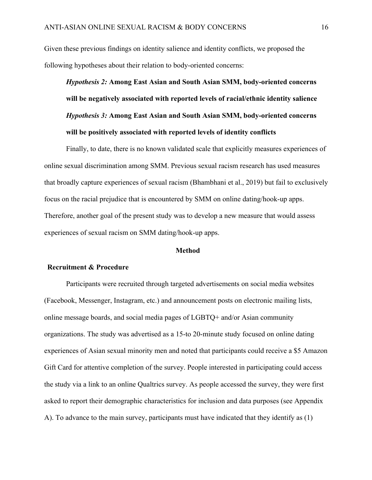Given these previous findings on identity salience and identity conflicts, we proposed the following hypotheses about their relation to body-oriented concerns:

*Hypothesis 2:* **Among East Asian and South Asian SMM, body-oriented concerns will be negatively associated with reported levels of racial/ethnic identity salience**  *Hypothesis 3:* **Among East Asian and South Asian SMM, body-oriented concerns will be positively associated with reported levels of identity conflicts** 

Finally, to date, there is no known validated scale that explicitly measures experiences of online sexual discrimination among SMM. Previous sexual racism research has used measures that broadly capture experiences of sexual racism (Bhambhani et al., 2019) but fail to exclusively focus on the racial prejudice that is encountered by SMM on online dating/hook-up apps. Therefore, another goal of the present study was to develop a new measure that would assess experiences of sexual racism on SMM dating/hook-up apps.

### **Method**

#### **Recruitment & Procedure**

Participants were recruited through targeted advertisements on social media websites (Facebook, Messenger, Instagram, etc.) and announcement posts on electronic mailing lists, online message boards, and social media pages of LGBTQ+ and/or Asian community organizations. The study was advertised as a 15-to 20-minute study focused on online dating experiences of Asian sexual minority men and noted that participants could receive a \$5 Amazon Gift Card for attentive completion of the survey. People interested in participating could access the study via a link to an online Qualtrics survey. As people accessed the survey, they were first asked to report their demographic characteristics for inclusion and data purposes (see Appendix A). To advance to the main survey, participants must have indicated that they identify as (1)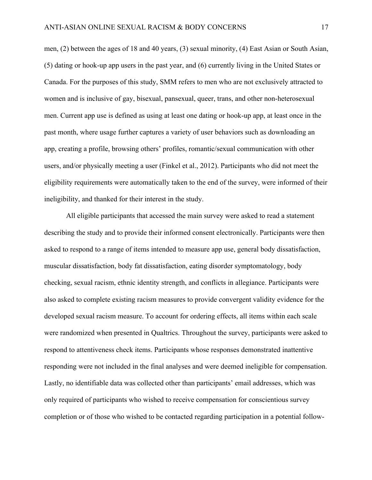men, (2) between the ages of 18 and 40 years, (3) sexual minority, (4) East Asian or South Asian, (5) dating or hook-up app users in the past year, and (6) currently living in the United States or Canada. For the purposes of this study, SMM refers to men who are not exclusively attracted to women and is inclusive of gay, bisexual, pansexual, queer, trans, and other non-heterosexual men. Current app use is defined as using at least one dating or hook-up app, at least once in the past month, where usage further captures a variety of user behaviors such as downloading an app, creating a profile, browsing others' profiles, romantic/sexual communication with other users, and/or physically meeting a user (Finkel et al., 2012). Participants who did not meet the eligibility requirements were automatically taken to the end of the survey, were informed of their ineligibility, and thanked for their interest in the study.

All eligible participants that accessed the main survey were asked to read a statement describing the study and to provide their informed consent electronically. Participants were then asked to respond to a range of items intended to measure app use, general body dissatisfaction, muscular dissatisfaction, body fat dissatisfaction, eating disorder symptomatology, body checking, sexual racism, ethnic identity strength, and conflicts in allegiance. Participants were also asked to complete existing racism measures to provide convergent validity evidence for the developed sexual racism measure. To account for ordering effects, all items within each scale were randomized when presented in Qualtrics. Throughout the survey, participants were asked to respond to attentiveness check items. Participants whose responses demonstrated inattentive responding were not included in the final analyses and were deemed ineligible for compensation. Lastly, no identifiable data was collected other than participants' email addresses, which was only required of participants who wished to receive compensation for conscientious survey completion or of those who wished to be contacted regarding participation in a potential follow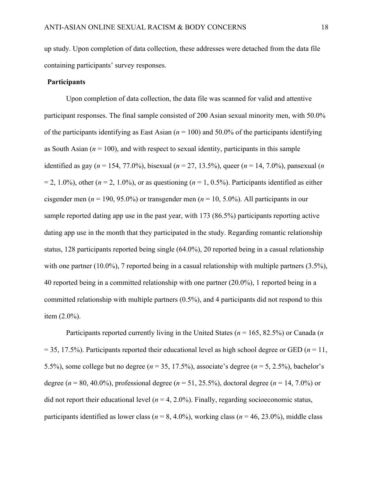up study. Upon completion of data collection, these addresses were detached from the data file containing participants' survey responses.

### **Participants**

Upon completion of data collection, the data file was scanned for valid and attentive participant responses. The final sample consisted of 200 Asian sexual minority men, with 50.0% of the participants identifying as East Asian  $(n = 100)$  and 50.0% of the participants identifying as South Asian  $(n = 100)$ , and with respect to sexual identity, participants in this sample identified as gay ( $n = 154, 77.0\%$ ), bisexual ( $n = 27, 13.5\%$ ), queer ( $n = 14, 7.0\%$ ), pansexual (*n*  $= 2, 1.0\%$ ), other ( $n = 2, 1.0\%$ ), or as questioning ( $n = 1, 0.5\%$ ). Participants identified as either cisgender men (*n* = 190, 95.0%) or transgender men (*n* = 10, 5.0%). All participants in our sample reported dating app use in the past year, with 173 (86.5%) participants reporting active dating app use in the month that they participated in the study. Regarding romantic relationship status, 128 participants reported being single (64.0%), 20 reported being in a casual relationship with one partner (10.0%), 7 reported being in a casual relationship with multiple partners (3.5%), 40 reported being in a committed relationship with one partner (20.0%), 1 reported being in a committed relationship with multiple partners (0.5%), and 4 participants did not respond to this item (2.0%).

Participants reported currently living in the United States (*n* = 165, 82.5%) or Canada (*n*  $= 35, 17.5\%$ ). Participants reported their educational level as high school degree or GED ( $n = 11$ , 5.5%), some college but no degree (*n* = 35, 17.5%), associate's degree (*n* = 5, 2.5%), bachelor's degree ( $n = 80, 40.0\%$ ), professional degree ( $n = 51, 25.5\%$ ), doctoral degree ( $n = 14, 7.0\%$ ) or did not report their educational level  $(n = 4, 2.0\%)$ . Finally, regarding socioeconomic status, participants identified as lower class (*n* = 8, 4.0%), working class (*n* = 46, 23.0%), middle class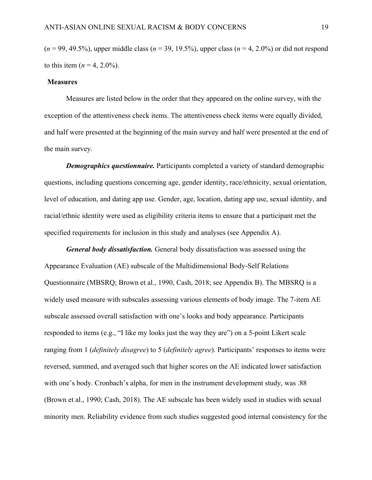(*n* = 99, 49.5%), upper middle class (*n* = 39, 19.5%), upper class (*n* = 4, 2.0%) or did not respond to this item  $(n = 4, 2.0\%)$ .

#### **Measures**

Measures are listed below in the order that they appeared on the online survey, with the exception of the attentiveness check items. The attentiveness check items were equally divided, and half were presented at the beginning of the main survey and half were presented at the end of the main survey.

*Demographics questionnaire.* Participants completed a variety of standard demographic questions, including questions concerning age, gender identity, race/ethnicity, sexual orientation, level of education, and dating app use. Gender, age, location, dating app use, sexual identity, and racial/ethnic identity were used as eligibility criteria items to ensure that a participant met the specified requirements for inclusion in this study and analyses (see Appendix A).

*General body dissatisfaction.* General body dissatisfaction was assessed using the Appearance Evaluation (AE) subscale of the Multidimensional Body-Self Relations Questionnaire (MBSRQ; Brown et al., 1990, Cash, 2018; see Appendix B). The MBSRQ is a widely used measure with subscales assessing various elements of body image. The 7-item AE subscale assessed overall satisfaction with one's looks and body appearance. Participants responded to items (e.g., "I like my looks just the way they are") on a 5-point Likert scale ranging from 1 (*definitely disagree*) to 5 (*definitely agree*). Participants' responses to items were reversed, summed, and averaged such that higher scores on the AE indicated lower satisfaction with one's body. Cronbach's alpha, for men in the instrument development study, was .88 (Brown et al., 1990; Cash, 2018). The AE subscale has been widely used in studies with sexual minority men. Reliability evidence from such studies suggested good internal consistency for the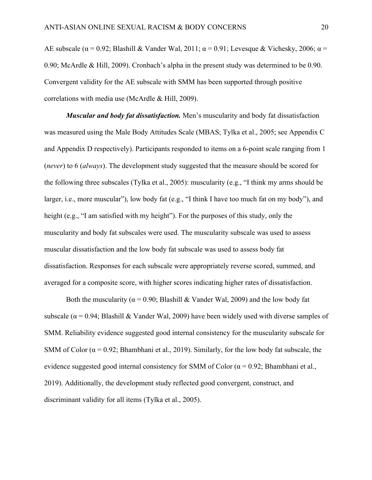AE subscale ( $\alpha$  = 0.92; Blashill & Vander Wal, 2011;  $\alpha$  = 0.91; Levesque & Vichesky, 2006;  $\alpha$  = 0.90; McArdle & Hill, 2009). Cronbach's alpha in the present study was determined to be 0.90. Convergent validity for the AE subscale with SMM has been supported through positive correlations with media use (McArdle & Hill, 2009).

*Muscular and body fat dissatisfaction.* Men's muscularity and body fat dissatisfaction was measured using the Male Body Attitudes Scale (MBAS; Tylka et al., 2005; see Appendix C and Appendix D respectively). Participants responded to items on a 6-point scale ranging from 1 (*never*) to 6 (*always*). The development study suggested that the measure should be scored for the following three subscales (Tylka et al., 2005): muscularity (e.g., "I think my arms should be larger, i.e., more muscular"), low body fat (e.g., "I think I have too much fat on my body"), and height (e.g., "I am satisfied with my height"). For the purposes of this study, only the muscularity and body fat subscales were used. The muscularity subscale was used to assess muscular dissatisfaction and the low body fat subscale was used to assess body fat dissatisfaction. Responses for each subscale were appropriately reverse scored, summed, and averaged for a composite score, with higher scores indicating higher rates of dissatisfaction.

Both the muscularity ( $\alpha$  = 0.90; Blashill & Vander Wal, 2009) and the low body fat subscale ( $\alpha$  = 0.94; Blashill & Vander Wal, 2009) have been widely used with diverse samples of SMM. Reliability evidence suggested good internal consistency for the muscularity subscale for SMM of Color ( $\alpha$  = 0.92; Bhambhani et al., 2019). Similarly, for the low body fat subscale, the evidence suggested good internal consistency for SMM of Color ( $\alpha$  = 0.92; Bhambhani et al., 2019). Additionally, the development study reflected good convergent, construct, and discriminant validity for all items (Tylka et al., 2005).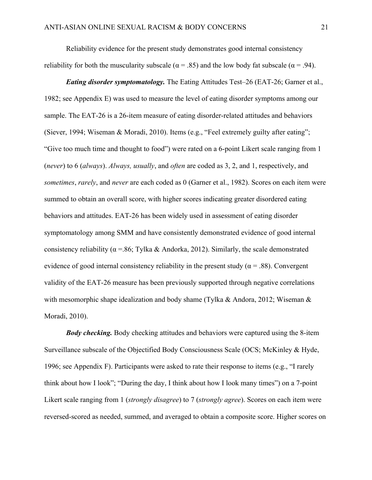Reliability evidence for the present study demonstrates good internal consistency reliability for both the muscularity subscale ( $\alpha = .85$ ) and the low body fat subscale ( $\alpha = .94$ ).

*Eating disorder symptomatology.* The Eating Attitudes Test–26 (EAT-26; Garner et al., 1982; see Appendix E) was used to measure the level of eating disorder symptoms among our sample. The EAT-26 is a 26-item measure of eating disorder-related attitudes and behaviors (Siever, 1994; Wiseman & Moradi, 2010). Items (e.g., "Feel extremely guilty after eating"; "Give too much time and thought to food") were rated on a 6-point Likert scale ranging from 1 (*never*) to 6 (*always*). *Always, usually*, and *often* are coded as 3, 2, and 1, respectively, and *sometimes*, *rarely*, and *never* are each coded as 0 (Garner et al., 1982). Scores on each item were summed to obtain an overall score, with higher scores indicating greater disordered eating behaviors and attitudes. EAT-26 has been widely used in assessment of eating disorder symptomatology among SMM and have consistently demonstrated evidence of good internal consistency reliability ( $\alpha$  =.86; Tylka & Andorka, 2012). Similarly, the scale demonstrated evidence of good internal consistency reliability in the present study ( $\alpha$  = .88). Convergent validity of the EAT-26 measure has been previously supported through negative correlations with mesomorphic shape idealization and body shame (Tylka & Andora, 2012; Wiseman & Moradi, 2010).

*Body checking.* Body checking attitudes and behaviors were captured using the 8-item Surveillance subscale of the Objectified Body Consciousness Scale (OCS; McKinley & Hyde, 1996; see Appendix F). Participants were asked to rate their response to items (e.g., "I rarely think about how I look"; "During the day, I think about how I look many times") on a 7-point Likert scale ranging from 1 (*strongly disagree*) to 7 (*strongly agree*). Scores on each item were reversed-scored as needed, summed, and averaged to obtain a composite score. Higher scores on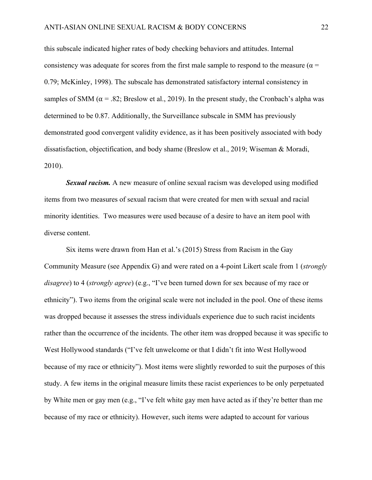this subscale indicated higher rates of body checking behaviors and attitudes. Internal consistency was adequate for scores from the first male sample to respond to the measure ( $\alpha$  = 0.79; McKinley, 1998). The subscale has demonstrated satisfactory internal consistency in samples of SMM ( $\alpha$  = .82; Breslow et al., 2019). In the present study, the Cronbach's alpha was determined to be 0.87. Additionally, the Surveillance subscale in SMM has previously demonstrated good convergent validity evidence, as it has been positively associated with body dissatisfaction, objectification, and body shame (Breslow et al., 2019; Wiseman & Moradi, 2010).

*Sexual racism.* A new measure of online sexual racism was developed using modified items from two measures of sexual racism that were created for men with sexual and racial minority identities. Two measures were used because of a desire to have an item pool with diverse content.

Six items were drawn from Han et al.'s (2015) Stress from Racism in the Gay Community Measure (see Appendix G) and were rated on a 4-point Likert scale from 1 (*strongly disagree*) to 4 (*strongly agree*) (e.g., "I've been turned down for sex because of my race or ethnicity"). Two items from the original scale were not included in the pool. One of these items was dropped because it assesses the stress individuals experience due to such racist incidents rather than the occurrence of the incidents. The other item was dropped because it was specific to West Hollywood standards ("I've felt unwelcome or that I didn't fit into West Hollywood because of my race or ethnicity"). Most items were slightly reworded to suit the purposes of this study. A few items in the original measure limits these racist experiences to be only perpetuated by White men or gay men (e.g., "I've felt white gay men have acted as if they're better than me because of my race or ethnicity). However, such items were adapted to account for various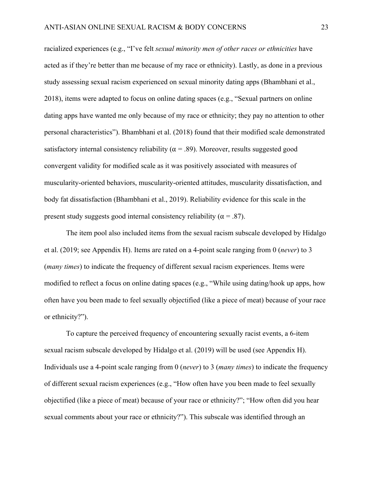racialized experiences (e.g., "I've felt *sexual minority men of other races or ethnicities* have acted as if they're better than me because of my race or ethnicity). Lastly, as done in a previous study assessing sexual racism experienced on sexual minority dating apps (Bhambhani et al., 2018), items were adapted to focus on online dating spaces (e.g., "Sexual partners on online dating apps have wanted me only because of my race or ethnicity; they pay no attention to other personal characteristics"). Bhambhani et al. (2018) found that their modified scale demonstrated satisfactory internal consistency reliability ( $\alpha = .89$ ). Moreover, results suggested good convergent validity for modified scale as it was positively associated with measures of muscularity-oriented behaviors, muscularity-oriented attitudes, muscularity dissatisfaction, and body fat dissatisfaction (Bhambhani et al., 2019). Reliability evidence for this scale in the present study suggests good internal consistency reliability ( $\alpha = .87$ ).

The item pool also included items from the sexual racism subscale developed by Hidalgo et al. (2019; see Appendix H). Items are rated on a 4-point scale ranging from 0 (*never*) to 3 (*many times*) to indicate the frequency of different sexual racism experiences. Items were modified to reflect a focus on online dating spaces (e.g., "While using dating/hook up apps, how often have you been made to feel sexually objectified (like a piece of meat) because of your race or ethnicity?").

To capture the perceived frequency of encountering sexually racist events, a 6-item sexual racism subscale developed by Hidalgo et al. (2019) will be used (see Appendix H). Individuals use a 4-point scale ranging from 0 (*never*) to 3 (*many times*) to indicate the frequency of different sexual racism experiences (e.g., "How often have you been made to feel sexually objectified (like a piece of meat) because of your race or ethnicity?"; "How often did you hear sexual comments about your race or ethnicity?"). This subscale was identified through an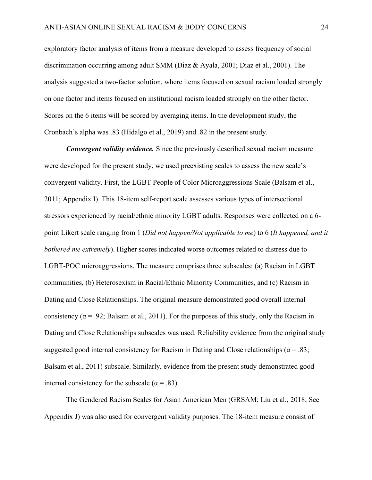exploratory factor analysis of items from a measure developed to assess frequency of social discrimination occurring among adult SMM (Diaz & Ayala, 2001; Diaz et al., 2001). The analysis suggested a two-factor solution, where items focused on sexual racism loaded strongly on one factor and items focused on institutional racism loaded strongly on the other factor. Scores on the 6 items will be scored by averaging items. In the development study, the Cronbach's alpha was .83 (Hidalgo et al., 2019) and .82 in the present study.

*Convergent validity evidence.* Since the previously described sexual racism measure were developed for the present study, we used preexisting scales to assess the new scale's convergent validity. First, the LGBT People of Color Microaggressions Scale (Balsam et al., 2011; Appendix I). This 18-item self-report scale assesses various types of intersectional stressors experienced by racial/ethnic minority LGBT adults. Responses were collected on a 6 point Likert scale ranging from 1 (*Did not happen/Not applicable to me*) to 6 (*It happened, and it bothered me extremely*). Higher scores indicated worse outcomes related to distress due to LGBT-POC microaggressions. The measure comprises three subscales: (a) Racism in LGBT communities, (b) Heterosexism in Racial/Ethnic Minority Communities, and (c) Racism in Dating and Close Relationships. The original measure demonstrated good overall internal consistency ( $\alpha$  = .92; Balsam et al., 2011). For the purposes of this study, only the Racism in Dating and Close Relationships subscales was used. Reliability evidence from the original study suggested good internal consistency for Racism in Dating and Close relationships ( $\alpha = .83$ ; Balsam et al., 2011) subscale. Similarly, evidence from the present study demonstrated good internal consistency for the subscale ( $\alpha$  = .83).

The Gendered Racism Scales for Asian American Men (GRSAM; Liu et al., 2018; See Appendix J) was also used for convergent validity purposes. The 18-item measure consist of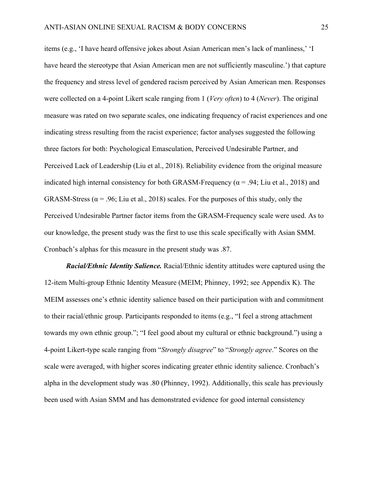items (e.g., 'I have heard offensive jokes about Asian American men's lack of manliness,' 'I have heard the stereotype that Asian American men are not sufficiently masculine.') that capture the frequency and stress level of gendered racism perceived by Asian American men. Responses were collected on a 4-point Likert scale ranging from 1 (*Very often*) to 4 (*Never*). The original measure was rated on two separate scales, one indicating frequency of racist experiences and one indicating stress resulting from the racist experience; factor analyses suggested the following three factors for both: Psychological Emasculation, Perceived Undesirable Partner, and Perceived Lack of Leadership (Liu et al., 2018). Reliability evidence from the original measure indicated high internal consistency for both GRASM-Frequency ( $\alpha$  = .94; Liu et al., 2018) and GRASM-Stress ( $\alpha$  = .96; Liu et al., 2018) scales. For the purposes of this study, only the Perceived Undesirable Partner factor items from the GRASM-Frequency scale were used. As to our knowledge, the present study was the first to use this scale specifically with Asian SMM. Cronbach's alphas for this measure in the present study was .87.

*Racial/Ethnic Identity Salience.* Racial/Ethnic identity attitudes were captured using the 12-item Multi-group Ethnic Identity Measure (MEIM; Phinney, 1992; see Appendix K). The MEIM assesses one's ethnic identity salience based on their participation with and commitment to their racial/ethnic group. Participants responded to items (e.g., "I feel a strong attachment towards my own ethnic group."; "I feel good about my cultural or ethnic background.") using a 4-point Likert-type scale ranging from "*Strongly disagree*" to "*Strongly agree*." Scores on the scale were averaged, with higher scores indicating greater ethnic identity salience. Cronbach's alpha in the development study was .80 (Phinney, 1992). Additionally, this scale has previously been used with Asian SMM and has demonstrated evidence for good internal consistency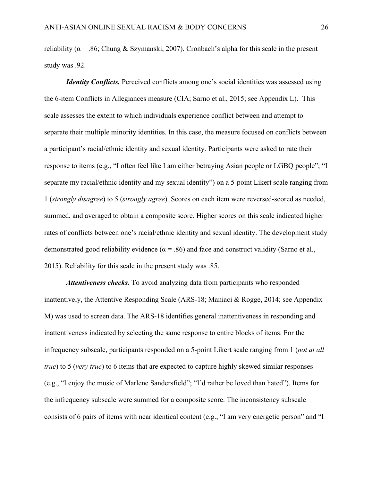reliability ( $\alpha$  = .86; Chung & Szymanski, 2007). Cronbach's alpha for this scale in the present study was .92.

*Identity Conflicts*. Perceived conflicts among one's social identities was assessed using the 6-item Conflicts in Allegiances measure (CIA; Sarno et al., 2015; see Appendix L). This scale assesses the extent to which individuals experience conflict between and attempt to separate their multiple minority identities. In this case, the measure focused on conflicts between a participant's racial/ethnic identity and sexual identity. Participants were asked to rate their response to items (e.g., "I often feel like I am either betraying Asian people or LGBQ people"; "I separate my racial/ethnic identity and my sexual identity") on a 5-point Likert scale ranging from 1 (*strongly disagree*) to 5 (*strongly agree*). Scores on each item were reversed-scored as needed, summed, and averaged to obtain a composite score. Higher scores on this scale indicated higher rates of conflicts between one's racial/ethnic identity and sexual identity. The development study demonstrated good reliability evidence ( $\alpha = .86$ ) and face and construct validity (Sarno et al., 2015). Reliability for this scale in the present study was .85.

*Attentiveness checks.* To avoid analyzing data from participants who responded inattentively, the Attentive Responding Scale (ARS-18; Maniaci & Rogge, 2014; see Appendix M) was used to screen data. The ARS-18 identifies general inattentiveness in responding and inattentiveness indicated by selecting the same response to entire blocks of items. For the infrequency subscale, participants responded on a 5-point Likert scale ranging from 1 (*not at all true*) to 5 (*very true*) to 6 items that are expected to capture highly skewed similar responses (e.g., "I enjoy the music of Marlene Sandersfield"; "I'd rather be loved than hated"). Items for the infrequency subscale were summed for a composite score. The inconsistency subscale consists of 6 pairs of items with near identical content (e.g., "I am very energetic person" and "I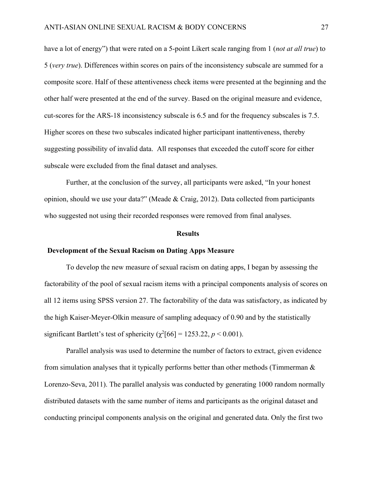have a lot of energy") that were rated on a 5-point Likert scale ranging from 1 (*not at all true*) to 5 (*very true*). Differences within scores on pairs of the inconsistency subscale are summed for a composite score. Half of these attentiveness check items were presented at the beginning and the other half were presented at the end of the survey. Based on the original measure and evidence, cut-scores for the ARS-18 inconsistency subscale is 6.5 and for the frequency subscales is 7.5. Higher scores on these two subscales indicated higher participant inattentiveness, thereby suggesting possibility of invalid data. All responses that exceeded the cutoff score for either subscale were excluded from the final dataset and analyses.

Further, at the conclusion of the survey, all participants were asked, "In your honest opinion, should we use your data?" (Meade & Craig, 2012). Data collected from participants who suggested not using their recorded responses were removed from final analyses.

### **Results**

#### **Development of the Sexual Racism on Dating Apps Measure**

To develop the new measure of sexual racism on dating apps, I began by assessing the factorability of the pool of sexual racism items with a principal components analysis of scores on all 12 items using SPSS version 27. The factorability of the data was satisfactory, as indicated by the high Kaiser-Meyer-Olkin measure of sampling adequacy of 0.90 and by the statistically significant Bartlett's test of sphericity  $(\chi^2[66] = 1253.22, p < 0.001)$ .

Parallel analysis was used to determine the number of factors to extract, given evidence from simulation analyses that it typically performs better than other methods (Timmerman & Lorenzo-Seva, 2011). The parallel analysis was conducted by generating 1000 random normally distributed datasets with the same number of items and participants as the original dataset and conducting principal components analysis on the original and generated data. Only the first two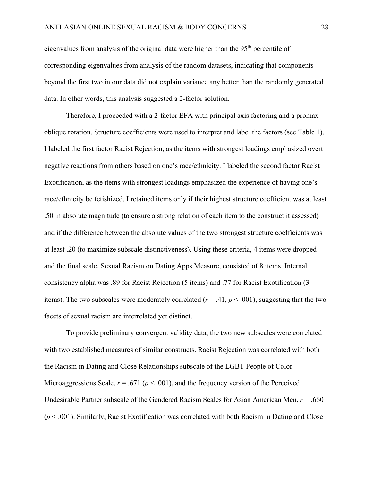eigenvalues from analysis of the original data were higher than the 95<sup>th</sup> percentile of corresponding eigenvalues from analysis of the random datasets, indicating that components beyond the first two in our data did not explain variance any better than the randomly generated data. In other words, this analysis suggested a 2-factor solution.

Therefore, I proceeded with a 2-factor EFA with principal axis factoring and a promax oblique rotation. Structure coefficients were used to interpret and label the factors (see Table 1). I labeled the first factor Racist Rejection, as the items with strongest loadings emphasized overt negative reactions from others based on one's race/ethnicity. I labeled the second factor Racist Exotification, as the items with strongest loadings emphasized the experience of having one's race/ethnicity be fetishized. I retained items only if their highest structure coefficient was at least .50 in absolute magnitude (to ensure a strong relation of each item to the construct it assessed) and if the difference between the absolute values of the two strongest structure coefficients was at least .20 (to maximize subscale distinctiveness). Using these criteria, 4 items were dropped and the final scale, Sexual Racism on Dating Apps Measure, consisted of 8 items. Internal consistency alpha was .89 for Racist Rejection (5 items) and .77 for Racist Exotification (3 items). The two subscales were moderately correlated ( $r = .41$ ,  $p < .001$ ), suggesting that the two facets of sexual racism are interrelated yet distinct.

To provide preliminary convergent validity data, the two new subscales were correlated with two established measures of similar constructs. Racist Rejection was correlated with both the Racism in Dating and Close Relationships subscale of the LGBT People of Color Microaggressions Scale,  $r = .671$  ( $p < .001$ ), and the frequency version of the Perceived Undesirable Partner subscale of the Gendered Racism Scales for Asian American Men, *r* = .660 (*p* < .001). Similarly, Racist Exotification was correlated with both Racism in Dating and Close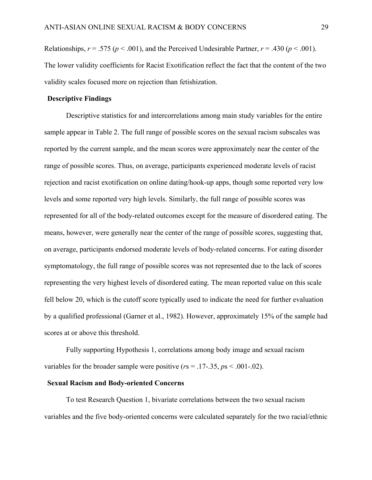Relationships,  $r = .575$  ( $p < .001$ ), and the Perceived Undesirable Partner,  $r = .430$  ( $p < .001$ ). The lower validity coefficients for Racist Exotification reflect the fact that the content of the two validity scales focused more on rejection than fetishization.

#### **Descriptive Findings**

Descriptive statistics for and intercorrelations among main study variables for the entire sample appear in Table 2. The full range of possible scores on the sexual racism subscales was reported by the current sample, and the mean scores were approximately near the center of the range of possible scores. Thus, on average, participants experienced moderate levels of racist rejection and racist exotification on online dating/hook-up apps, though some reported very low levels and some reported very high levels. Similarly, the full range of possible scores was represented for all of the body-related outcomes except for the measure of disordered eating. The means, however, were generally near the center of the range of possible scores, suggesting that, on average, participants endorsed moderate levels of body-related concerns. For eating disorder symptomatology, the full range of possible scores was not represented due to the lack of scores representing the very highest levels of disordered eating. The mean reported value on this scale fell below 20, which is the cutoff score typically used to indicate the need for further evaluation by a qualified professional (Garner et al., 1982). However, approximately 15% of the sample had scores at or above this threshold.

Fully supporting Hypothesis 1, correlations among body image and sexual racism variables for the broader sample were positive  $(r_s = .17-.35, ps < .001-.02)$ .

## **Sexual Racism and Body-oriented Concerns**

To test Research Question 1, bivariate correlations between the two sexual racism variables and the five body-oriented concerns were calculated separately for the two racial/ethnic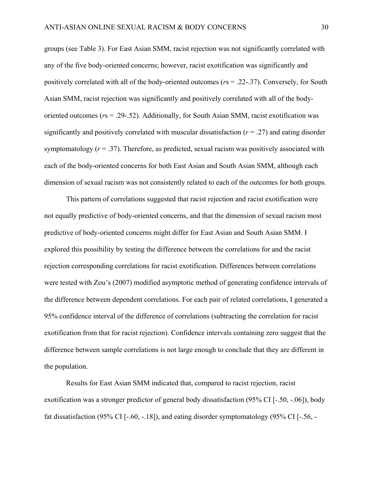groups (see Table 3). For East Asian SMM, racist rejection was not significantly correlated with any of the five body-oriented concerns; however, racist exotification was significantly and positively correlated with all of the body-oriented outcomes (*r*s = .22-.37). Conversely, for South Asian SMM, racist rejection was significantly and positively correlated with all of the bodyoriented outcomes (*r*s = .29-.52). Additionally, for South Asian SMM, racist exotification was significantly and positively correlated with muscular dissatisfaction  $(r = .27)$  and eating disorder symptomatology  $(r = .37)$ . Therefore, as predicted, sexual racism was positively associated with each of the body-oriented concerns for both East Asian and South Asian SMM, although each dimension of sexual racism was not consistently related to each of the outcomes for both groups.

This pattern of correlations suggested that racist rejection and racist exotification were not equally predictive of body-oriented concerns, and that the dimension of sexual racism most predictive of body-oriented concerns might differ for East Asian and South Asian SMM. I explored this possibility by testing the difference between the correlations for and the racist rejection corresponding correlations for racist exotification. Differences between correlations were tested with Zou's (2007) modified asymptotic method of generating confidence intervals of the difference between dependent correlations. For each pair of related correlations, I generated a 95% confidence interval of the difference of correlations (subtracting the correlation for racist exotification from that for racist rejection). Confidence intervals containing zero suggest that the difference between sample correlations is not large enough to conclude that they are different in the population.

Results for East Asian SMM indicated that, compared to racist rejection, racist exotification was a stronger predictor of general body dissatisfaction (95% CI [-.50, -.06]), body fat dissatisfaction (95% CI [-.60, -.18]), and eating disorder symptomatology (95% CI [-.56, -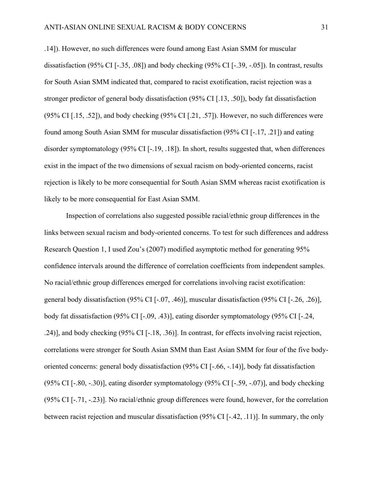.14]). However, no such differences were found among East Asian SMM for muscular dissatisfaction (95% CI [-.35, .08]) and body checking (95% CI [-.39, -.05]). In contrast, results for South Asian SMM indicated that, compared to racist exotification, racist rejection was a stronger predictor of general body dissatisfaction (95% CI [.13, .50]), body fat dissatisfaction (95% CI [.15, .52]), and body checking (95% CI [.21, .57]). However, no such differences were found among South Asian SMM for muscular dissatisfaction (95% CI [-.17, .21]) and eating disorder symptomatology (95% CI [-.19, .18]). In short, results suggested that, when differences exist in the impact of the two dimensions of sexual racism on body-oriented concerns, racist rejection is likely to be more consequential for South Asian SMM whereas racist exotification is likely to be more consequential for East Asian SMM.

Inspection of correlations also suggested possible racial/ethnic group differences in the links between sexual racism and body-oriented concerns. To test for such differences and address Research Question 1, I used Zou's (2007) modified asymptotic method for generating 95% confidence intervals around the difference of correlation coefficients from independent samples. No racial/ethnic group differences emerged for correlations involving racist exotification: general body dissatisfaction (95% CI [-.07, .46)], muscular dissatisfaction (95% CI [-.26, .26)], body fat dissatisfaction (95% CI [-.09, .43)], eating disorder symptomatology (95% CI [-.24, .24)], and body checking (95% CI [-.18, .36)]. In contrast, for effects involving racist rejection, correlations were stronger for South Asian SMM than East Asian SMM for four of the five bodyoriented concerns: general body dissatisfaction (95% CI [-.66, -.14)], body fat dissatisfaction (95% CI [-.80, -.30)], eating disorder symptomatology (95% CI [-.59, -.07)], and body checking (95% CI [-.71, -.23)]. No racial/ethnic group differences were found, however, for the correlation between racist rejection and muscular dissatisfaction (95% CI [-.42, .11)]. In summary, the only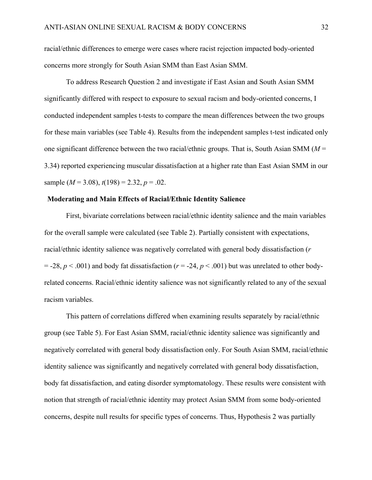racial/ethnic differences to emerge were cases where racist rejection impacted body-oriented concerns more strongly for South Asian SMM than East Asian SMM.

To address Research Question 2 and investigate if East Asian and South Asian SMM significantly differed with respect to exposure to sexual racism and body-oriented concerns, I conducted independent samples t-tests to compare the mean differences between the two groups for these main variables (see Table 4). Results from the independent samples t-test indicated only one significant difference between the two racial/ethnic groups. That is, South Asian SMM (*M* = 3.34) reported experiencing muscular dissatisfaction at a higher rate than East Asian SMM in our sample (*M* = 3.08), *t*(198) = 2.32, *p* = .02.

### **Moderating and Main Effects of Racial/Ethnic Identity Salience**

First, bivariate correlations between racial/ethnic identity salience and the main variables for the overall sample were calculated (see Table 2). Partially consistent with expectations, racial/ethnic identity salience was negatively correlated with general body dissatisfaction (*r*  $= -28$ ,  $p < .001$ ) and body fat dissatisfaction ( $r = -24$ ,  $p < .001$ ) but was unrelated to other bodyrelated concerns. Racial/ethnic identity salience was not significantly related to any of the sexual racism variables.

This pattern of correlations differed when examining results separately by racial/ethnic group (see Table 5). For East Asian SMM, racial/ethnic identity salience was significantly and negatively correlated with general body dissatisfaction only. For South Asian SMM, racial/ethnic identity salience was significantly and negatively correlated with general body dissatisfaction, body fat dissatisfaction, and eating disorder symptomatology. These results were consistent with notion that strength of racial/ethnic identity may protect Asian SMM from some body-oriented concerns, despite null results for specific types of concerns. Thus, Hypothesis 2 was partially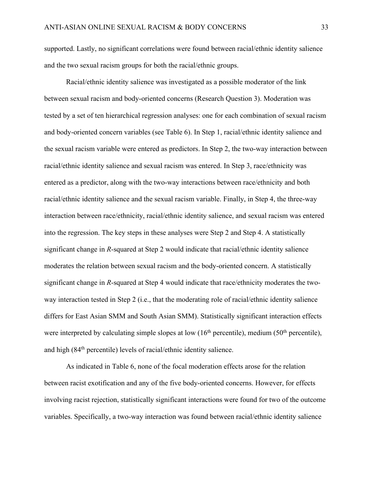supported. Lastly, no significant correlations were found between racial/ethnic identity salience and the two sexual racism groups for both the racial/ethnic groups.

Racial/ethnic identity salience was investigated as a possible moderator of the link between sexual racism and body-oriented concerns (Research Question 3). Moderation was tested by a set of ten hierarchical regression analyses: one for each combination of sexual racism and body-oriented concern variables (see Table 6). In Step 1, racial/ethnic identity salience and the sexual racism variable were entered as predictors. In Step 2, the two-way interaction between racial/ethnic identity salience and sexual racism was entered. In Step 3, race/ethnicity was entered as a predictor, along with the two-way interactions between race/ethnicity and both racial/ethnic identity salience and the sexual racism variable. Finally, in Step 4, the three-way interaction between race/ethnicity, racial/ethnic identity salience, and sexual racism was entered into the regression. The key steps in these analyses were Step 2 and Step 4. A statistically significant change in *R*-squared at Step 2 would indicate that racial/ethnic identity salience moderates the relation between sexual racism and the body-oriented concern. A statistically significant change in *R*-squared at Step 4 would indicate that race/ethnicity moderates the twoway interaction tested in Step 2 (i.e., that the moderating role of racial/ethnic identity salience differs for East Asian SMM and South Asian SMM). Statistically significant interaction effects were interpreted by calculating simple slopes at low  $(16<sup>th</sup>$  percentile), medium  $(50<sup>th</sup>$  percentile), and high (84<sup>th</sup> percentile) levels of racial/ethnic identity salience.

As indicated in Table 6, none of the focal moderation effects arose for the relation between racist exotification and any of the five body-oriented concerns. However, for effects involving racist rejection, statistically significant interactions were found for two of the outcome variables. Specifically, a two-way interaction was found between racial/ethnic identity salience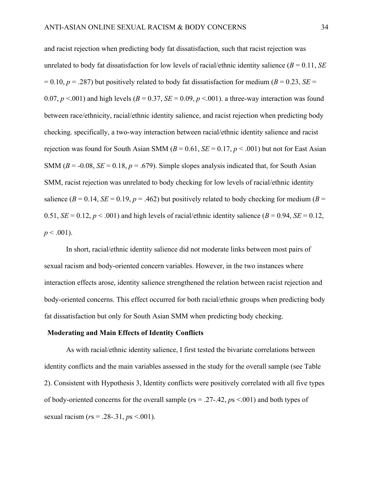and racist rejection when predicting body fat dissatisfaction, such that racist rejection was unrelated to body fat dissatisfaction for low levels of racial/ethnic identity salience  $(B = 0.11, SE)$  $= 0.10, p = .287$ ) but positively related to body fat dissatisfaction for medium ( $B = 0.23, SE = 0.10$ ) 0.07,  $p \le 0.01$ ) and high levels ( $B = 0.37$ ,  $SE = 0.09$ ,  $p \le 0.01$ ). a three-way interaction was found between race/ethnicity, racial/ethnic identity salience, and racist rejection when predicting body checking. specifically, a two-way interaction between racial/ethnic identity salience and racist rejection was found for South Asian SMM ( $B = 0.61$ ,  $SE = 0.17$ ,  $p < .001$ ) but not for East Asian SMM  $(B = -0.08, SE = 0.18, p = .679)$ . Simple slopes analysis indicated that, for South Asian SMM, racist rejection was unrelated to body checking for low levels of racial/ethnic identity salience ( $B = 0.14$ ,  $SE = 0.19$ ,  $p = .462$ ) but positively related to body checking for medium ( $B =$ 0.51,  $SE = 0.12$ ,  $p < .001$ ) and high levels of racial/ethnic identity salience ( $B = 0.94$ ,  $SE = 0.12$ ,  $p < .001$ ).

In short, racial/ethnic identity salience did not moderate links between most pairs of sexual racism and body-oriented concern variables. However, in the two instances where interaction effects arose, identity salience strengthened the relation between racist rejection and body-oriented concerns. This effect occurred for both racial/ethnic groups when predicting body fat dissatisfaction but only for South Asian SMM when predicting body checking.

### **Moderating and Main Effects of Identity Conflicts**

As with racial/ethnic identity salience, I first tested the bivariate correlations between identity conflicts and the main variables assessed in the study for the overall sample (see Table 2). Consistent with Hypothesis 3, Identity conflicts were positively correlated with all five types of body-oriented concerns for the overall sample (*r*s = .27-.42, *p*s <.001) and both types of sexual racism (*r*s = .28-.31, *p*s <.001).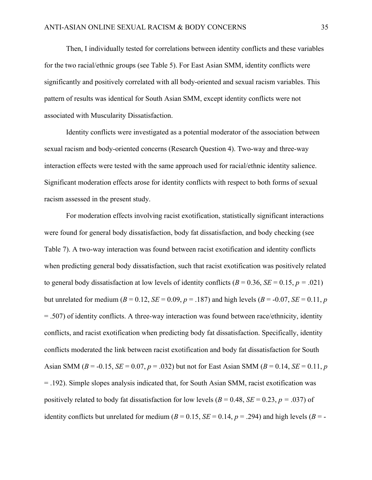Then, I individually tested for correlations between identity conflicts and these variables for the two racial/ethnic groups (see Table 5). For East Asian SMM, identity conflicts were significantly and positively correlated with all body-oriented and sexual racism variables. This pattern of results was identical for South Asian SMM, except identity conflicts were not associated with Muscularity Dissatisfaction.

Identity conflicts were investigated as a potential moderator of the association between sexual racism and body-oriented concerns (Research Question 4). Two-way and three-way interaction effects were tested with the same approach used for racial/ethnic identity salience. Significant moderation effects arose for identity conflicts with respect to both forms of sexual racism assessed in the present study.

For moderation effects involving racist exotification, statistically significant interactions were found for general body dissatisfaction, body fat dissatisfaction, and body checking (see Table 7). A two-way interaction was found between racist exotification and identity conflicts when predicting general body dissatisfaction, such that racist exotification was positively related to general body dissatisfaction at low levels of identity conflicts  $(B = 0.36, SE = 0.15, p = .021)$ but unrelated for medium ( $B = 0.12$ ,  $SE = 0.09$ ,  $p = .187$ ) and high levels ( $B = -0.07$ ,  $SE = 0.11$ ,  $p = 0.11$ = .507) of identity conflicts. A three-way interaction was found between race/ethnicity, identity conflicts, and racist exotification when predicting body fat dissatisfaction. Specifically, identity conflicts moderated the link between racist exotification and body fat dissatisfaction for South Asian SMM ( $B = -0.15$ ,  $SE = 0.07$ ,  $p = .032$ ) but not for East Asian SMM ( $B = 0.14$ ,  $SE = 0.11$ ,  $p$ = .192). Simple slopes analysis indicated that, for South Asian SMM, racist exotification was positively related to body fat dissatisfaction for low levels ( $B = 0.48$ ,  $SE = 0.23$ ,  $p = .037$ ) of identity conflicts but unrelated for medium ( $B = 0.15$ ,  $SE = 0.14$ ,  $p = .294$ ) and high levels ( $B = -$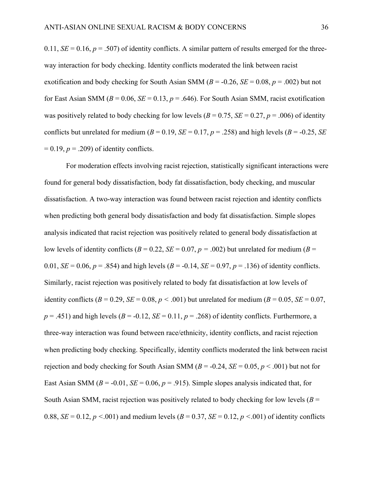0.11,  $SE = 0.16$ ,  $p = .507$ ) of identity conflicts. A similar pattern of results emerged for the threeway interaction for body checking. Identity conflicts moderated the link between racist exotification and body checking for South Asian SMM ( $B = -0.26$ ,  $SE = 0.08$ ,  $p = .002$ ) but not for East Asian SMM ( $B = 0.06$ ,  $SE = 0.13$ ,  $p = .646$ ). For South Asian SMM, racist exotification was positively related to body checking for low levels  $(B = 0.75, SE = 0.27, p = .006)$  of identity conflicts but unrelated for medium ( $B = 0.19$ ,  $SE = 0.17$ ,  $p = .258$ ) and high levels ( $B = -0.25$ , *SE*)  $= 0.19$ ,  $p = .209$ ) of identity conflicts.

For moderation effects involving racist rejection, statistically significant interactions were found for general body dissatisfaction, body fat dissatisfaction, body checking, and muscular dissatisfaction. A two-way interaction was found between racist rejection and identity conflicts when predicting both general body dissatisfaction and body fat dissatisfaction. Simple slopes analysis indicated that racist rejection was positively related to general body dissatisfaction at low levels of identity conflicts ( $B = 0.22$ ,  $SE = 0.07$ ,  $p = .002$ ) but unrelated for medium ( $B =$ 0.01,  $SE = 0.06$ ,  $p = .854$ ) and high levels ( $B = -0.14$ ,  $SE = 0.97$ ,  $p = .136$ ) of identity conflicts. Similarly, racist rejection was positively related to body fat dissatisfaction at low levels of identity conflicts ( $B = 0.29$ ,  $SE = 0.08$ ,  $p < .001$ ) but unrelated for medium ( $B = 0.05$ ,  $SE = 0.07$ ,  $p = .451$ ) and high levels ( $B = -0.12$ ,  $SE = 0.11$ ,  $p = .268$ ) of identity conflicts. Furthermore, a three-way interaction was found between race/ethnicity, identity conflicts, and racist rejection when predicting body checking. Specifically, identity conflicts moderated the link between racist rejection and body checking for South Asian SMM ( $B = -0.24$ ,  $SE = 0.05$ ,  $p < .001$ ) but not for East Asian SMM ( $B = -0.01$ ,  $SE = 0.06$ ,  $p = .915$ ). Simple slopes analysis indicated that, for South Asian SMM, racist rejection was positively related to body checking for low levels (*B* = 0.88,  $SE = 0.12$ ,  $p < .001$ ) and medium levels ( $B = 0.37$ ,  $SE = 0.12$ ,  $p < .001$ ) of identity conflicts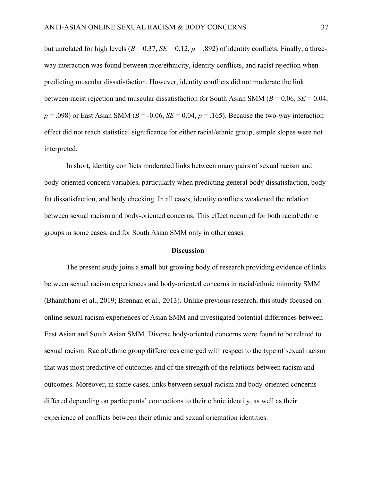but unrelated for high levels ( $B = 0.37$ ,  $SE = 0.12$ ,  $p = .892$ ) of identity conflicts. Finally, a threeway interaction was found between race/ethnicity, identity conflicts, and racist rejection when predicting muscular dissatisfaction. However, identity conflicts did not moderate the link between racist rejection and muscular dissatisfaction for South Asian SMM (*B* = 0.06, *SE* = 0.04,  $p = .098$ ) or East Asian SMM ( $B = -0.06$ ,  $SE = 0.04$ ,  $p = .165$ ). Because the two-way interaction effect did not reach statistical significance for either racial/ethnic group, simple slopes were not interpreted.

In short, identity conflicts moderated links between many pairs of sexual racism and body-oriented concern variables, particularly when predicting general body dissatisfaction, body fat dissatisfaction, and body checking. In all cases, identity conflicts weakened the relation between sexual racism and body-oriented concerns. This effect occurred for both racial/ethnic groups in some cases, and for South Asian SMM only in other cases.

### **Discussion**

The present study joins a small but growing body of research providing evidence of links between sexual racism experiences and body-oriented concerns in racial/ethnic minority SMM (Bhambhani et al., 2019; Brennan et al., 2013). Unlike previous research, this study focused on online sexual racism experiences of Asian SMM and investigated potential differences between East Asian and South Asian SMM. Diverse body-oriented concerns were found to be related to sexual racism. Racial/ethnic group differences emerged with respect to the type of sexual racism that was most predictive of outcomes and of the strength of the relations between racism and outcomes. Moreover, in some cases, links between sexual racism and body-oriented concerns differed depending on participants' connections to their ethnic identity, as well as their experience of conflicts between their ethnic and sexual orientation identities.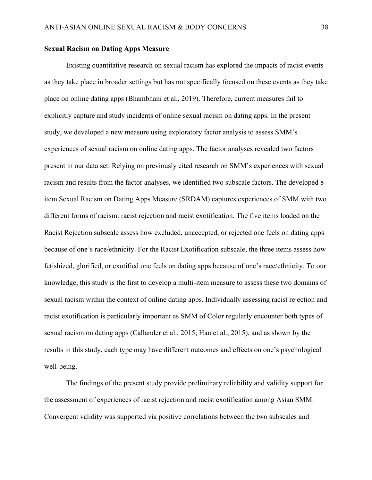### **Sexual Racism on Dating Apps Measure**

Existing quantitative research on sexual racism has explored the impacts of racist events as they take place in broader settings but has not specifically focused on these events as they take place on online dating apps (Bhambhani et al., 2019). Therefore, current measures fail to explicitly capture and study incidents of online sexual racism on dating apps. In the present study, we developed a new measure using exploratory factor analysis to assess SMM's experiences of sexual racism on online dating apps. The factor analyses revealed two factors present in our data set. Relying on previously cited research on SMM's experiences with sexual racism and results from the factor analyses, we identified two subscale factors. The developed 8 item Sexual Racism on Dating Apps Measure (SRDAM) captures experiences of SMM with two different forms of racism: racist rejection and racist exotification. The five items loaded on the Racist Rejection subscale assess how excluded, unaccepted, or rejected one feels on dating apps because of one's race/ethnicity. For the Racist Exotification subscale, the three items assess how fetishized, glorified, or exotified one feels on dating apps because of one's race/ethnicity. To our knowledge, this study is the first to develop a multi-item measure to assess these two domains of sexual racism within the context of online dating apps. Individually assessing racist rejection and racist exotification is particularly important as SMM of Color regularly encounter both types of sexual racism on dating apps (Callander et al., 2015; Han et al., 2015), and as shown by the results in this study, each type may have different outcomes and effects on one's psychological well-being.

The findings of the present study provide preliminary reliability and validity support for the assessment of experiences of racist rejection and racist exotification among Asian SMM. Convergent validity was supported via positive correlations between the two subscales and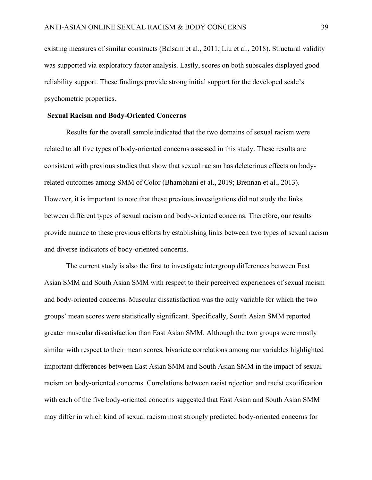existing measures of similar constructs (Balsam et al., 2011; Liu et al., 2018). Structural validity was supported via exploratory factor analysis. Lastly, scores on both subscales displayed good reliability support. These findings provide strong initial support for the developed scale's psychometric properties.

#### **Sexual Racism and Body-Oriented Concerns**

Results for the overall sample indicated that the two domains of sexual racism were related to all five types of body-oriented concerns assessed in this study. These results are consistent with previous studies that show that sexual racism has deleterious effects on bodyrelated outcomes among SMM of Color (Bhambhani et al., 2019; Brennan et al., 2013). However, it is important to note that these previous investigations did not study the links between different types of sexual racism and body-oriented concerns. Therefore, our results provide nuance to these previous efforts by establishing links between two types of sexual racism and diverse indicators of body-oriented concerns.

The current study is also the first to investigate intergroup differences between East Asian SMM and South Asian SMM with respect to their perceived experiences of sexual racism and body-oriented concerns. Muscular dissatisfaction was the only variable for which the two groups' mean scores were statistically significant. Specifically, South Asian SMM reported greater muscular dissatisfaction than East Asian SMM. Although the two groups were mostly similar with respect to their mean scores, bivariate correlations among our variables highlighted important differences between East Asian SMM and South Asian SMM in the impact of sexual racism on body-oriented concerns. Correlations between racist rejection and racist exotification with each of the five body-oriented concerns suggested that East Asian and South Asian SMM may differ in which kind of sexual racism most strongly predicted body-oriented concerns for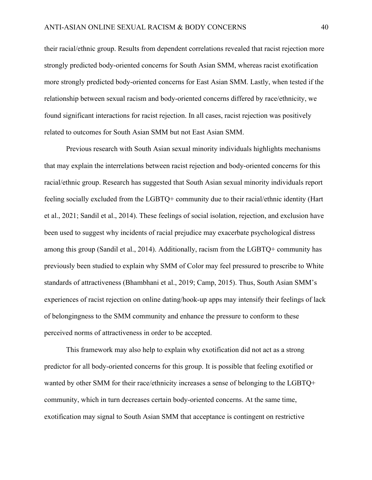their racial/ethnic group. Results from dependent correlations revealed that racist rejection more strongly predicted body-oriented concerns for South Asian SMM, whereas racist exotification more strongly predicted body-oriented concerns for East Asian SMM. Lastly, when tested if the relationship between sexual racism and body-oriented concerns differed by race/ethnicity, we found significant interactions for racist rejection. In all cases, racist rejection was positively related to outcomes for South Asian SMM but not East Asian SMM.

Previous research with South Asian sexual minority individuals highlights mechanisms that may explain the interrelations between racist rejection and body-oriented concerns for this racial/ethnic group. Research has suggested that South Asian sexual minority individuals report feeling socially excluded from the LGBTQ+ community due to their racial/ethnic identity (Hart et al., 2021; Sandil et al., 2014). These feelings of social isolation, rejection, and exclusion have been used to suggest why incidents of racial prejudice may exacerbate psychological distress among this group (Sandil et al., 2014). Additionally, racism from the LGBTQ+ community has previously been studied to explain why SMM of Color may feel pressured to prescribe to White standards of attractiveness (Bhambhani et al., 2019; Camp, 2015). Thus, South Asian SMM's experiences of racist rejection on online dating/hook-up apps may intensify their feelings of lack of belongingness to the SMM community and enhance the pressure to conform to these perceived norms of attractiveness in order to be accepted.

This framework may also help to explain why exotification did not act as a strong predictor for all body-oriented concerns for this group. It is possible that feeling exotified or wanted by other SMM for their race/ethnicity increases a sense of belonging to the LGBTQ+ community, which in turn decreases certain body-oriented concerns. At the same time, exotification may signal to South Asian SMM that acceptance is contingent on restrictive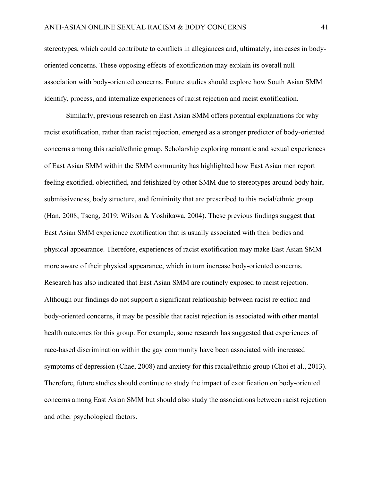stereotypes, which could contribute to conflicts in allegiances and, ultimately, increases in bodyoriented concerns. These opposing effects of exotification may explain its overall null association with body-oriented concerns. Future studies should explore how South Asian SMM identify, process, and internalize experiences of racist rejection and racist exotification.

Similarly, previous research on East Asian SMM offers potential explanations for why racist exotification, rather than racist rejection, emerged as a stronger predictor of body-oriented concerns among this racial/ethnic group. Scholarship exploring romantic and sexual experiences of East Asian SMM within the SMM community has highlighted how East Asian men report feeling exotified, objectified, and fetishized by other SMM due to stereotypes around body hair, submissiveness, body structure, and femininity that are prescribed to this racial/ethnic group (Han, 2008; Tseng, 2019; Wilson & Yoshikawa, 2004). These previous findings suggest that East Asian SMM experience exotification that is usually associated with their bodies and physical appearance. Therefore, experiences of racist exotification may make East Asian SMM more aware of their physical appearance, which in turn increase body-oriented concerns. Research has also indicated that East Asian SMM are routinely exposed to racist rejection. Although our findings do not support a significant relationship between racist rejection and body-oriented concerns, it may be possible that racist rejection is associated with other mental health outcomes for this group. For example, some research has suggested that experiences of race-based discrimination within the gay community have been associated with increased symptoms of depression (Chae, 2008) and anxiety for this racial/ethnic group (Choi et al., 2013). Therefore, future studies should continue to study the impact of exotification on body-oriented concerns among East Asian SMM but should also study the associations between racist rejection and other psychological factors.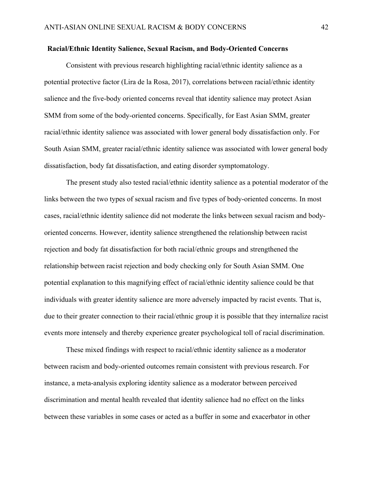#### **Racial/Ethnic Identity Salience, Sexual Racism, and Body-Oriented Concerns**

Consistent with previous research highlighting racial/ethnic identity salience as a potential protective factor (Lira de la Rosa, 2017), correlations between racial/ethnic identity salience and the five-body oriented concerns reveal that identity salience may protect Asian SMM from some of the body-oriented concerns. Specifically, for East Asian SMM, greater racial/ethnic identity salience was associated with lower general body dissatisfaction only. For South Asian SMM, greater racial/ethnic identity salience was associated with lower general body dissatisfaction, body fat dissatisfaction, and eating disorder symptomatology.

The present study also tested racial/ethnic identity salience as a potential moderator of the links between the two types of sexual racism and five types of body-oriented concerns. In most cases, racial/ethnic identity salience did not moderate the links between sexual racism and bodyoriented concerns. However, identity salience strengthened the relationship between racist rejection and body fat dissatisfaction for both racial/ethnic groups and strengthened the relationship between racist rejection and body checking only for South Asian SMM. One potential explanation to this magnifying effect of racial/ethnic identity salience could be that individuals with greater identity salience are more adversely impacted by racist events. That is, due to their greater connection to their racial/ethnic group it is possible that they internalize racist events more intensely and thereby experience greater psychological toll of racial discrimination.

These mixed findings with respect to racial/ethnic identity salience as a moderator between racism and body-oriented outcomes remain consistent with previous research. For instance, a meta-analysis exploring identity salience as a moderator between perceived discrimination and mental health revealed that identity salience had no effect on the links between these variables in some cases or acted as a buffer in some and exacerbator in other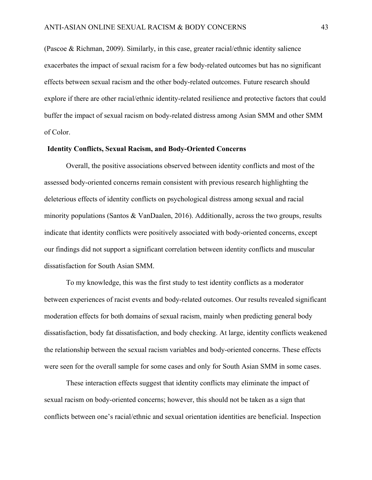(Pascoe & Richman, 2009). Similarly, in this case, greater racial/ethnic identity salience exacerbates the impact of sexual racism for a few body-related outcomes but has no significant effects between sexual racism and the other body-related outcomes. Future research should explore if there are other racial/ethnic identity-related resilience and protective factors that could buffer the impact of sexual racism on body-related distress among Asian SMM and other SMM of Color.

#### **Identity Conflicts, Sexual Racism, and Body-Oriented Concerns**

Overall, the positive associations observed between identity conflicts and most of the assessed body-oriented concerns remain consistent with previous research highlighting the deleterious effects of identity conflicts on psychological distress among sexual and racial minority populations (Santos  $\&$  VanDaalen, 2016). Additionally, across the two groups, results indicate that identity conflicts were positively associated with body-oriented concerns, except our findings did not support a significant correlation between identity conflicts and muscular dissatisfaction for South Asian SMM.

To my knowledge, this was the first study to test identity conflicts as a moderator between experiences of racist events and body-related outcomes. Our results revealed significant moderation effects for both domains of sexual racism, mainly when predicting general body dissatisfaction, body fat dissatisfaction, and body checking. At large, identity conflicts weakened the relationship between the sexual racism variables and body-oriented concerns. These effects were seen for the overall sample for some cases and only for South Asian SMM in some cases.

These interaction effects suggest that identity conflicts may eliminate the impact of sexual racism on body-oriented concerns; however, this should not be taken as a sign that conflicts between one's racial/ethnic and sexual orientation identities are beneficial. Inspection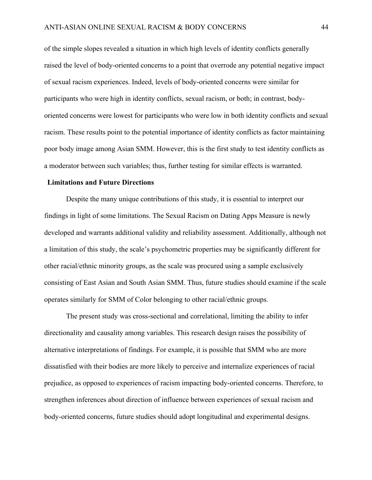of the simple slopes revealed a situation in which high levels of identity conflicts generally raised the level of body-oriented concerns to a point that overrode any potential negative impact of sexual racism experiences. Indeed, levels of body-oriented concerns were similar for participants who were high in identity conflicts, sexual racism, or both; in contrast, bodyoriented concerns were lowest for participants who were low in both identity conflicts and sexual racism. These results point to the potential importance of identity conflicts as factor maintaining poor body image among Asian SMM. However, this is the first study to test identity conflicts as a moderator between such variables; thus, further testing for similar effects is warranted.

#### **Limitations and Future Directions**

Despite the many unique contributions of this study, it is essential to interpret our findings in light of some limitations. The Sexual Racism on Dating Apps Measure is newly developed and warrants additional validity and reliability assessment. Additionally, although not a limitation of this study, the scale's psychometric properties may be significantly different for other racial/ethnic minority groups, as the scale was procured using a sample exclusively consisting of East Asian and South Asian SMM. Thus, future studies should examine if the scale operates similarly for SMM of Color belonging to other racial/ethnic groups.

The present study was cross-sectional and correlational, limiting the ability to infer directionality and causality among variables. This research design raises the possibility of alternative interpretations of findings. For example, it is possible that SMM who are more dissatisfied with their bodies are more likely to perceive and internalize experiences of racial prejudice, as opposed to experiences of racism impacting body-oriented concerns. Therefore, to strengthen inferences about direction of influence between experiences of sexual racism and body-oriented concerns, future studies should adopt longitudinal and experimental designs.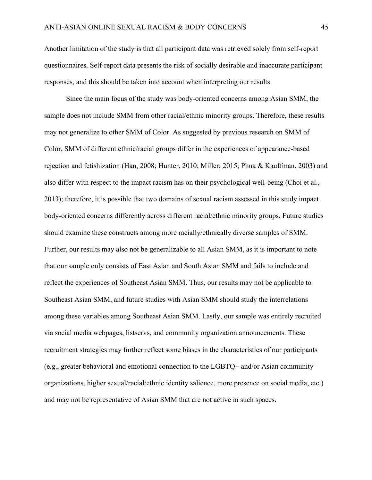Another limitation of the study is that all participant data was retrieved solely from self-report questionnaires. Self-report data presents the risk of socially desirable and inaccurate participant responses, and this should be taken into account when interpreting our results.

Since the main focus of the study was body-oriented concerns among Asian SMM, the sample does not include SMM from other racial/ethnic minority groups. Therefore, these results may not generalize to other SMM of Color. As suggested by previous research on SMM of Color, SMM of different ethnic/racial groups differ in the experiences of appearance-based rejection and fetishization (Han, 2008; Hunter, 2010; Miller; 2015; Phua & Kauffman, 2003) and also differ with respect to the impact racism has on their psychological well-being (Choi et al., 2013); therefore, it is possible that two domains of sexual racism assessed in this study impact body-oriented concerns differently across different racial/ethnic minority groups. Future studies should examine these constructs among more racially/ethnically diverse samples of SMM. Further, our results may also not be generalizable to all Asian SMM, as it is important to note that our sample only consists of East Asian and South Asian SMM and fails to include and reflect the experiences of Southeast Asian SMM. Thus, our results may not be applicable to Southeast Asian SMM, and future studies with Asian SMM should study the interrelations among these variables among Southeast Asian SMM. Lastly, our sample was entirely recruited via social media webpages, listservs, and community organization announcements. These recruitment strategies may further reflect some biases in the characteristics of our participants (e.g., greater behavioral and emotional connection to the LGBTQ+ and/or Asian community organizations, higher sexual/racial/ethnic identity salience, more presence on social media, etc.) and may not be representative of Asian SMM that are not active in such spaces.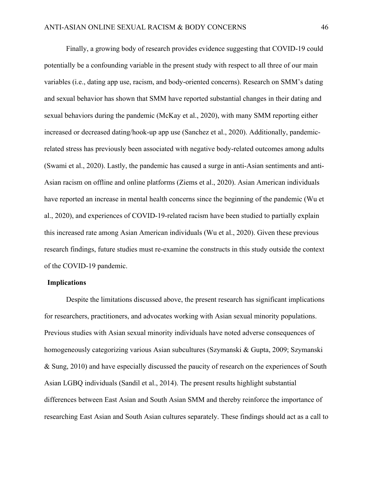Finally, a growing body of research provides evidence suggesting that COVID-19 could potentially be a confounding variable in the present study with respect to all three of our main variables (i.e., dating app use, racism, and body-oriented concerns). Research on SMM's dating and sexual behavior has shown that SMM have reported substantial changes in their dating and sexual behaviors during the pandemic (McKay et al., 2020), with many SMM reporting either increased or decreased dating/hook-up app use (Sanchez et al., 2020). Additionally, pandemicrelated stress has previously been associated with negative body-related outcomes among adults (Swami et al., 2020). Lastly, the pandemic has caused a surge in anti-Asian sentiments and anti-Asian racism on offline and online platforms (Ziems et al., 2020). Asian American individuals have reported an increase in mental health concerns since the beginning of the pandemic (Wu et al., 2020), and experiences of COVID-19-related racism have been studied to partially explain this increased rate among Asian American individuals (Wu et al., 2020). Given these previous research findings, future studies must re-examine the constructs in this study outside the context of the COVID-19 pandemic.

### **Implications**

Despite the limitations discussed above, the present research has significant implications for researchers, practitioners, and advocates working with Asian sexual minority populations. Previous studies with Asian sexual minority individuals have noted adverse consequences of homogeneously categorizing various Asian subcultures (Szymanski & Gupta, 2009; Szymanski & Sung, 2010) and have especially discussed the paucity of research on the experiences of South Asian LGBQ individuals (Sandil et al., 2014). The present results highlight substantial differences between East Asian and South Asian SMM and thereby reinforce the importance of researching East Asian and South Asian cultures separately. These findings should act as a call to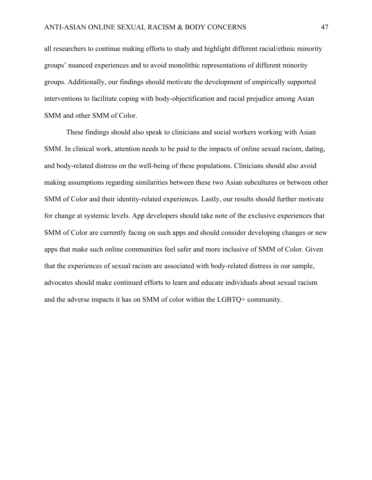all researchers to continue making efforts to study and highlight different racial/ethnic minority groups' nuanced experiences and to avoid monolithic representations of different minority groups. Additionally, our findings should motivate the development of empirically supported interventions to facilitate coping with body-objectification and racial prejudice among Asian SMM and other SMM of Color.

These findings should also speak to clinicians and social workers working with Asian SMM. In clinical work, attention needs to be paid to the impacts of online sexual racism, dating, and body-related distress on the well-being of these populations. Clinicians should also avoid making assumptions regarding similarities between these two Asian subcultures or between other SMM of Color and their identity-related experiences. Lastly, our results should further motivate for change at systemic levels. App developers should take note of the exclusive experiences that SMM of Color are currently facing on such apps and should consider developing changes or new apps that make such online communities feel safer and more inclusive of SMM of Color. Given that the experiences of sexual racism are associated with body-related distress in our sample, advocates should make continued efforts to learn and educate individuals about sexual racism and the adverse impacts it has on SMM of color within the LGBTQ+ community.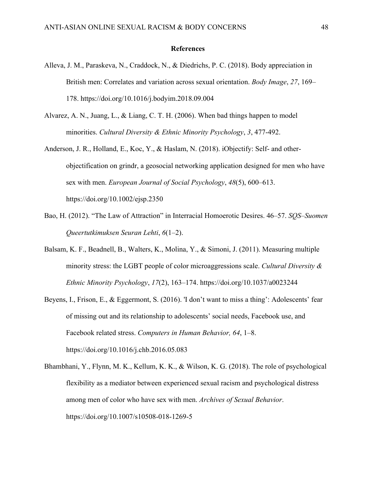#### **References**

- Alleva, J. M., Paraskeva, N., Craddock, N., & Diedrichs, P. C. (2018). Body appreciation in British men: Correlates and variation across sexual orientation. *Body Image*, *27*, 169– 178. https://doi.org/10.1016/j.bodyim.2018.09.004
- Alvarez, A. N., Juang, L., & Liang, C. T. H. (2006). When bad things happen to model minorities. *Cultural Diversity & Ethnic Minority Psychology*, *3*, 477-492.
- Anderson, J. R., Holland, E., Koc, Y., & Haslam, N. (2018). iObjectify: Self- and otherobjectification on grindr, a geosocial networking application designed for men who have sex with men. *European Journal of Social Psychology*, *48*(5), 600–613. https://doi.org/10.1002/ejsp.2350
- Bao, H. (2012). "The Law of Attraction" in Interracial Homoerotic Desires. 46–57. *SQS–Suomen Queertutkimuksen Seuran Lehti*, *6*(1–2).
- Balsam, K. F., Beadnell, B., Walters, K., Molina, Y., & Simoni, J. (2011). Measuring multiple minority stress: the LGBT people of color microaggressions scale. *Cultural Diversity & Ethnic Minority Psychology*, *17*(2), 163–174. https://doi.org/10.1037/a0023244
- Beyens, I., Frison, E., & Eggermont, S. (2016). 'I don't want to miss a thing': Adolescents' fear of missing out and its relationship to adolescents' social needs, Facebook use, and Facebook related stress. *Computers in Human Behavior, 64*, 1–8. https://doi.org/10.1016/j.chb.2016.05.083
- Bhambhani, Y., Flynn, M. K., Kellum, K. K., & Wilson, K. G. (2018). The role of psychological flexibility as a mediator between experienced sexual racism and psychological distress among men of color who have sex with men. *Archives of Sexual Behavior*. https://doi.org/10.1007/s10508-018-1269-5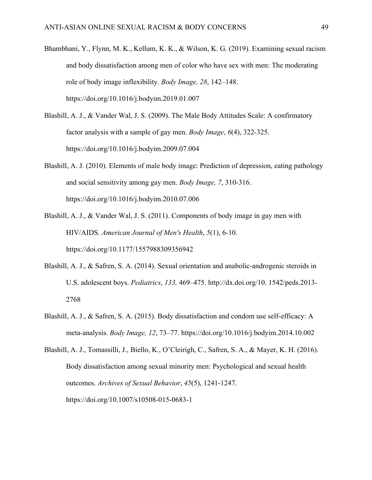- Bhambhani, Y., Flynn, M. K., Kellum, K. K., & Wilson, K. G. (2019). Examining sexual racism and body dissatisfaction among men of color who have sex with men: The moderating role of body image inflexibility*. Body Image, 28*, 142–148. https://doi.org/10.1016/j.bodyim.2019.01.007
- Blashill, A. J., & Vander Wal, J. S. (2009). The Male Body Attitudes Scale: A confirmatory factor analysis with a sample of gay men. *Body Image*, *6*(4), 322-325. https://doi.org/10.1016/j.bodyim.2009.07.004
- Blashill, A. J. (2010). Elements of male body image: Prediction of depression, eating pathology and social sensitivity among gay men. *Body Image, 7*, 310-316. https://doi.org/10.1016/j.bodyim.2010.07.006
- Blashill, A. J., & Vander Wal, J. S. (2011). Components of body image in gay men with HIV/AIDS. *American Journal of Men's Health*, *5*(1), 6-10. https://doi.org/10.1177/1557988309356942
- Blashill, A. J., & Safren, S. A. (2014). Sexual orientation and anabolic-androgenic steroids in U.S. adolescent boys. *Pediatrics*, *133,* 469–475. http://dx.doi.org/10. 1542/peds.2013- 2768
- Blashill, A. J., & Safren, S. A. (2015). Body dissatisfaction and condom use self-efficacy: A meta-analysis. *Body Image, 12*, 73–77. https://doi.org/10.1016/j.bodyim.2014.10.002
- Blashill, A. J., Tomassilli, J., Biello, K., O'Cleirigh, C., Safren, S. A., & Mayer, K. H. (2016). Body dissatisfaction among sexual minority men: Psychological and sexual health outcomes. *Archives of Sexual Behavior*, *45*(5), 1241-1247. https://doi.org/10.1007/s10508-015-0683-1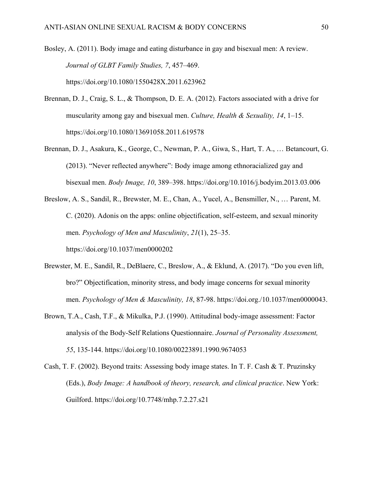Bosley, A. (2011). Body image and eating disturbance in gay and bisexual men: A review. *Journal of GLBT Family Studies, 7*, 457–469. https://doi.org/10.1080/1550428X.2011.623962

- Brennan, D. J., Craig, S. L., & Thompson, D. E. A. (2012). Factors associated with a drive for muscularity among gay and bisexual men. *Culture, Health & Sexuality, 14*, 1–15. https://doi.org/10.1080/13691058.2011.619578
- Brennan, D. J., Asakura, K., George, C., Newman, P. A., Giwa, S., Hart, T. A., … Betancourt, G. (2013). "Never reflected anywhere": Body image among ethnoracialized gay and bisexual men. *Body Image, 10*, 389–398. https://doi.org/10.1016/j.bodyim.2013.03.006
- Breslow, A. S., Sandil, R., Brewster, M. E., Chan, A., Yucel, A., Bensmiller, N., … Parent, M. C. (2020). Adonis on the apps: online objectification, self-esteem, and sexual minority men. *Psychology of Men and Masculinity*, *21*(1), 25–35.

https://doi.org/10.1037/men0000202

- Brewster, M. E., Sandil, R., DeBlaere, C., Breslow, A., & Eklund, A. (2017). "Do you even lift, bro?" Objectification, minority stress, and body image concerns for sexual minority men. *Psychology of Men & Masculinity, 18*, 87-98. https://doi.org./10.1037/men0000043.
- Brown, T.A., Cash, T.F., & Mikulka, P.J. (1990). Attitudinal body-image assessment: Factor analysis of the Body-Self Relations Questionnaire. *Journal of Personality Assessment, 55*, 135-144. https://doi.org/10.1080/00223891.1990.9674053
- Cash, T. F. (2002). Beyond traits: Assessing body image states. In T. F. Cash & T. Pruzinsky (Eds.), *Body Image: A handbook of theory, research, and clinical practice*. New York: Guilford. https://doi.org/10.7748/mhp.7.2.27.s21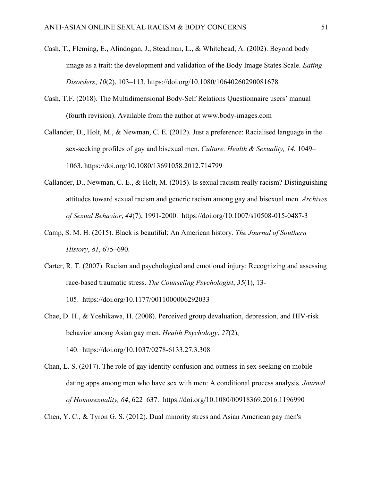- Cash, T., Fleming, E., Alindogan, J., Steadman, L., & Whitehead, A. (2002). Beyond body image as a trait: the development and validation of the Body Image States Scale. *Eating Disorders*, *10*(2), 103–113. https://doi.org/10.1080/10640260290081678
- Cash, T.F. (2018). The Multidimensional Body-Self Relations Questionnaire users' manual (fourth revision). Available from the author at www.body-images.com
- Callander, D., Holt, M., & Newman, C. E. (2012). Just a preference: Racialised language in the sex-seeking profiles of gay and bisexual men. *Culture, Health & Sexuality, 14*, 1049– 1063. https://doi.org/10.1080/13691058.2012.714799
- Callander, D., Newman, C. E., & Holt, M. (2015). Is sexual racism really racism? Distinguishing attitudes toward sexual racism and generic racism among gay and bisexual men. *Archives of Sexual Behavior*, *44*(7), 1991-2000. https://doi.org/10.1007/s10508-015-0487-3
- Camp, S. M. H. (2015). Black is beautiful: An American history*. The Journal of Southern History*, *81*, 675–690.
- Carter, R. T. (2007). Racism and psychological and emotional injury: Recognizing and assessing race-based traumatic stress. *The Counseling Psychologist*, *35*(1), 13- 105. https://doi.org/10.1177/0011000006292033
- Chae, D. H., & Yoshikawa, H. (2008). Perceived group devaluation, depression, and HIV-risk behavior among Asian gay men. *Health Psychology*, *27*(2), 140. https://doi.org/10.1037/0278-6133.27.3.308
- Chan, L. S. (2017). The role of gay identity confusion and outness in sex-seeking on mobile dating apps among men who have sex with men: A conditional process analysis. *Journal of Homosexuality, 64*, 622–637. https://doi.org/10.1080/00918369.2016.1196990

Chen, Y. C., & Tyron G. S. (2012). Dual minority stress and Asian American gay men's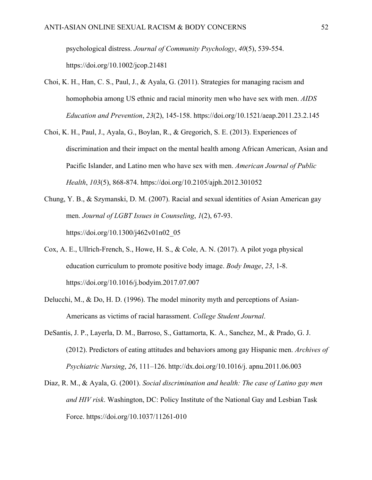psychological distress. *Journal of Community Psychology*, *40*(5), 539-554. https://doi.org/10.1002/jcop.21481

- Choi, K. H., Han, C. S., Paul, J., & Ayala, G. (2011). Strategies for managing racism and homophobia among US ethnic and racial minority men who have sex with men. *AIDS Education and Prevention*, *23*(2), 145-158. https://doi.org/10.1521/aeap.2011.23.2.145
- Choi, K. H., Paul, J., Ayala, G., Boylan, R., & Gregorich, S. E. (2013). Experiences of discrimination and their impact on the mental health among African American, Asian and Pacific Islander, and Latino men who have sex with men. *American Journal of Public Health*, *103*(5), 868-874. https://doi.org/10.2105/ajph.2012.301052
- Chung, Y. B., & Szymanski, D. M. (2007). Racial and sexual identities of Asian American gay men. *Journal of LGBT Issues in Counseling*, *1*(2), 67-93. https://doi.org/10.1300/j462v01n02\_05
- Cox, A. E., Ullrich-French, S., Howe, H. S., & Cole, A. N. (2017). A pilot yoga physical education curriculum to promote positive body image. *Body Image*, *23*, 1-8. https://doi.org/10.1016/j.bodyim.2017.07.007
- Delucchi, M., & Do, H. D. (1996). The model minority myth and perceptions of Asian-Americans as victims of racial harassment. *College Student Journal*.
- DeSantis, J. P., Layerla, D. M., Barroso, S., Gattamorta, K. A., Sanchez, M., & Prado, G. J. (2012). Predictors of eating attitudes and behaviors among gay Hispanic men. *Archives of Psychiatric Nursing*, *26*, 111–126. http://dx.doi.org/10.1016/j. apnu.2011.06.003
- Diaz, R. M., & Ayala, G. (2001). *Social discrimination and health: The case of Latino gay men and HIV risk*. Washington, DC: Policy Institute of the National Gay and Lesbian Task Force. https://doi.org/10.1037/11261-010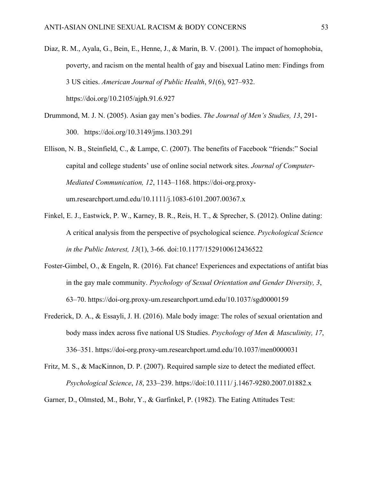- Diaz, R. M., Ayala, G., Bein, E., Henne, J., & Marin, B. V. (2001). The impact of homophobia, poverty, and racism on the mental health of gay and bisexual Latino men: Findings from 3 US cities. *American Journal of Public Health*, *91*(6), 927–932. https://doi.org/10.2105/ajph.91.6.927
- Drummond, M. J. N. (2005). Asian gay men's bodies. *The Journal of Men's Studies, 13*, 291- 300. https://doi.org/10.3149/jms.1303.291
- Ellison, N. B., Steinfield, C., & Lampe, C. (2007). The benefits of Facebook "friends:" Social capital and college students' use of online social network sites. *Journal of Computer-Mediated Communication, 12*, 1143–1168. https://doi-org.proxyum.researchport.umd.edu/10.1111/j.1083-6101.2007.00367.x
- Finkel, E. J., Eastwick, P. W., Karney, B. R., Reis, H. T., & Sprecher, S. (2012). Online dating: A critical analysis from the perspective of psychological science. *Psychological Science in the Public Interest, 13*(1), 3-66. doi:10.1177/1529100612436522
- Foster-Gimbel, O., & Engeln, R. (2016). Fat chance! Experiences and expectations of antifat bias in the gay male community. *Psychology of Sexual Orientation and Gender Diversity, 3*, 63–70. https://doi-org.proxy-um.researchport.umd.edu/10.1037/sgd0000159
- Frederick, D. A., & Essayli, J. H. (2016). Male body image: The roles of sexual orientation and body mass index across five national US Studies. *Psychology of Men & Masculinity, 17*, 336–351. https://doi-org.proxy-um.researchport.umd.edu/10.1037/men0000031
- Fritz, M. S., & MacKinnon, D. P. (2007). Required sample size to detect the mediated effect. *Psychological Science*, *18*, 233–239. https://doi:10.1111/ j.1467-9280.2007.01882.x

Garner, D., Olmsted, M., Bohr, Y., & Garfinkel, P. (1982). The Eating Attitudes Test: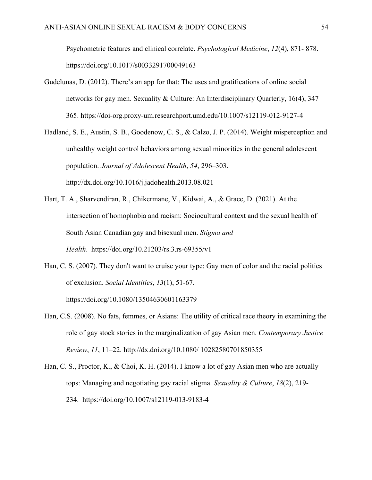Psychometric features and clinical correlate. *Psychological Medicine*, *12*(4), 871- 878. https://doi.org/10.1017/s0033291700049163

- Gudelunas, D. (2012). There's an app for that: The uses and gratifications of online social networks for gay men. Sexuality & Culture: An Interdisciplinary Quarterly, 16(4), 347– 365. https://doi-org.proxy-um.researchport.umd.edu/10.1007/s12119-012-9127-4
- Hadland, S. E., Austin, S. B., Goodenow, C. S., & Calzo, J. P. (2014). Weight misperception and unhealthy weight control behaviors among sexual minorities in the general adolescent population. *Journal of Adolescent Health*, *54*, 296–303. http://dx.doi.org/10.1016/j.jadohealth.2013.08.021
- Hart, T. A., Sharvendiran, R., Chikermane, V., Kidwai, A., & Grace, D. (2021). At the intersection of homophobia and racism: Sociocultural context and the sexual health of South Asian Canadian gay and bisexual men. *Stigma and Health*. https://doi.org/10.21203/rs.3.rs-69355/v1
- Han, C. S. (2007). They don't want to cruise your type: Gay men of color and the racial politics of exclusion. *Social Identities*, *13*(1), 51-67. https://doi.org/10.1080/13504630601163379
- Han, C.S. (2008). No fats, femmes, or Asians: The utility of critical race theory in examining the role of gay stock stories in the marginalization of gay Asian men. *Contemporary Justice Review*, *11*, 11–22. http://dx.doi.org/10.1080/ 10282580701850355
- Han, C. S., Proctor, K., & Choi, K. H. (2014). I know a lot of gay Asian men who are actually tops: Managing and negotiating gay racial stigma. *Sexuality & Culture*, *18*(2), 219- 234. https://doi.org/10.1007/s12119-013-9183-4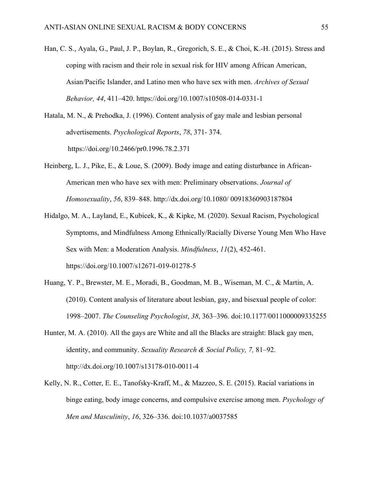- Han, C. S., Ayala, G., Paul, J. P., Boylan, R., Gregorich, S. E., & Choi, K.-H. (2015). Stress and coping with racism and their role in sexual risk for HIV among African American, Asian/Pacific Islander, and Latino men who have sex with men. *Archives of Sexual Behavior, 44*, 411–420. https://doi.org/10.1007/s10508-014-0331-1
- Hatala, M. N., & Prehodka, J. (1996). Content analysis of gay male and lesbian personal advertisements. *Psychological Reports*, *78*, 371- 374. https://doi.org/10.2466/pr0.1996.78.2.371
- Heinberg, L. J., Pike, E., & Loue, S. (2009). Body image and eating disturbance in African-American men who have sex with men: Preliminary observations. *Journal of Homosexuality*, *56*, 839–848. http://dx.doi.org/10.1080/ 00918360903187804
- Hidalgo, M. A., Layland, E., Kubicek, K., & Kipke, M. (2020). Sexual Racism, Psychological Symptoms, and Mindfulness Among Ethnically/Racially Diverse Young Men Who Have Sex with Men: a Moderation Analysis. *Mindfulness*, *11*(2), 452-461. https://doi.org/10.1007/s12671-019-01278-5
- Huang, Y. P., Brewster, M. E., Moradi, B., Goodman, M. B., Wiseman, M. C., & Martin, A. (2010). Content analysis of literature about lesbian, gay, and bisexual people of color: 1998–2007. *The Counseling Psychologist*, *38*, 363–396. doi:10.1177/0011000009335255
- Hunter, M. A. (2010). All the gays are White and all the Blacks are straight: Black gay men, identity, and community. *Sexuality Research & Social Policy, 7,* 81–92. http://dx.doi.org/10.1007/s13178-010-0011-4
- Kelly, N. R., Cotter, E. E., Tanofsky-Kraff, M., & Mazzeo, S. E. (2015). Racial variations in binge eating, body image concerns, and compulsive exercise among men. *Psychology of Men and Masculinity*, *16*, 326–336. doi:10.1037/a0037585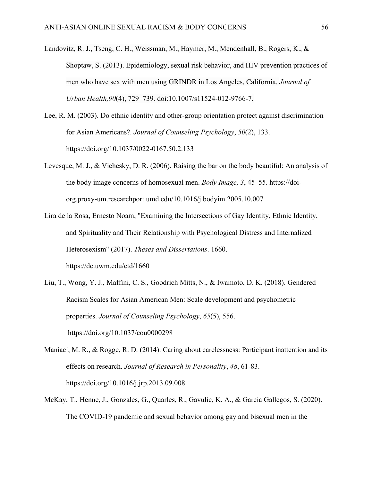- Landovitz, R. J., Tseng, C. H., Weissman, M., Haymer, M., Mendenhall, B., Rogers, K., & Shoptaw, S. (2013). Epidemiology, sexual risk behavior, and HIV prevention practices of men who have sex with men using GRINDR in Los Angeles, California. *Journal of Urban Health,90*(4), 729–739. doi:10.1007/s11524-012-9766-7.
- Lee, R. M. (2003). Do ethnic identity and other-group orientation protect against discrimination for Asian Americans?. *Journal of Counseling Psychology*, *50*(2), 133. https://doi.org/10.1037/0022-0167.50.2.133
- Levesque, M. J., & Vichesky, D. R. (2006). Raising the bar on the body beautiful: An analysis of the body image concerns of homosexual men. *Body Image, 3*, 45–55. https://doiorg.proxy-um.researchport.umd.edu/10.1016/j.bodyim.2005.10.007
- Lira de la Rosa, Ernesto Noam, "Examining the Intersections of Gay Identity, Ethnic Identity, and Spirituality and Their Relationship with Psychological Distress and Internalized Heterosexism" (2017). *Theses and Dissertations*. 1660. https://dc.uwm.edu/etd/1660
- Liu, T., Wong, Y. J., Maffini, C. S., Goodrich Mitts, N., & Iwamoto, D. K. (2018). Gendered Racism Scales for Asian American Men: Scale development and psychometric properties. *Journal of Counseling Psychology*, *65*(5), 556. https://doi.org/10.1037/cou0000298
- Maniaci, M. R., & Rogge, R. D. (2014). Caring about carelessness: Participant inattention and its effects on research. *Journal of Research in Personality*, *48*, 61-83. https://doi.org/10.1016/j.jrp.2013.09.008
- McKay, T., Henne, J., Gonzales, G., Quarles, R., Gavulic, K. A., & Garcia Gallegos, S. (2020). The COVID-19 pandemic and sexual behavior among gay and bisexual men in the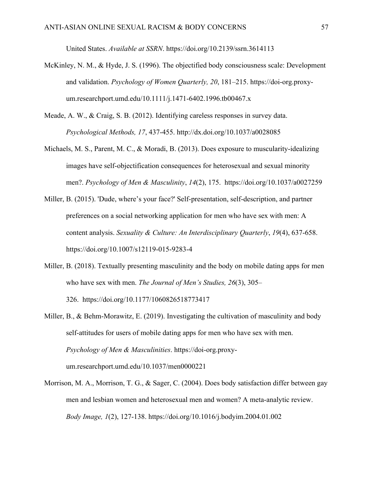United States. *Available at SSRN*. https://doi.org/10.2139/ssrn.3614113

- McKinley, N. M., & Hyde, J. S. (1996). The objectified body consciousness scale: Development and validation. *Psychology of Women Quarterly, 20*, 181–215. https://doi-org.proxyum.researchport.umd.edu/10.1111/j.1471-6402.1996.tb00467.x
- Meade, A. W., & Craig, S. B. (2012). Identifying careless responses in survey data. *Psychological Methods, 17*, 437-455. http://dx.doi.org/10.1037/a0028085
- Michaels, M. S., Parent, M. C., & Moradi, B. (2013). Does exposure to muscularity-idealizing images have self-objectification consequences for heterosexual and sexual minority men?. *Psychology of Men & Masculinity*, *14*(2), 175. https://doi.org/10.1037/a0027259
- Miller, B. (2015). 'Dude, where's your face?' Self-presentation, self-description, and partner preferences on a social networking application for men who have sex with men: A content analysis. *Sexuality & Culture: An Interdisciplinary Quarterly*, *19*(4), 637-658. https://doi.org/10.1007/s12119-015-9283-4
- Miller, B. (2018). Textually presenting masculinity and the body on mobile dating apps for men who have sex with men. *The Journal of Men's Studies, 26*(3), 305– 326. https://doi.org/10.1177/1060826518773417
- Miller, B., & Behm-Morawitz, E. (2019). Investigating the cultivation of masculinity and body self-attitudes for users of mobile dating apps for men who have sex with men. *Psychology of Men & Masculinities*. https://doi-org.proxyum.researchport.umd.edu/10.1037/men0000221
- Morrison, M. A., Morrison, T. G., & Sager, C. (2004). Does body satisfaction differ between gay men and lesbian women and heterosexual men and women? A meta-analytic review. *Body Image, 1*(2), 127-138. https://doi.org/10.1016/j.bodyim.2004.01.002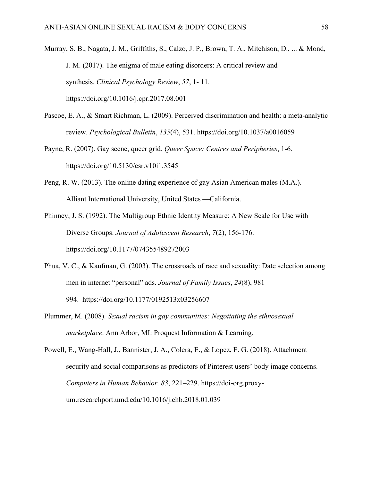Murray, S. B., Nagata, J. M., Griffiths, S., Calzo, J. P., Brown, T. A., Mitchison, D., ... & Mond, J. M. (2017). The enigma of male eating disorders: A critical review and synthesis. *Clinical Psychology Review*, *57*, 1- 11. https://doi.org/10.1016/j.cpr.2017.08.001

- Pascoe, E. A., & Smart Richman, L. (2009). Perceived discrimination and health: a meta-analytic review. *Psychological Bulletin*, *135*(4), 531. https://doi.org/10.1037/a0016059
- Payne, R. (2007). Gay scene, queer grid. *Queer Space: Centres and Peripheries*, 1-6. https://doi.org/10.5130/csr.v10i1.3545
- Peng, R. W. (2013). The online dating experience of gay Asian American males (M.A.). Alliant International University, United States —California.
- Phinney, J. S. (1992). The Multigroup Ethnic Identity Measure: A New Scale for Use with Diverse Groups. *Journal of Adolescent Research*, *7*(2), 156-176. https://doi.org/10.1177/074355489272003
- Phua, V. C., & Kaufman, G. (2003). The crossroads of race and sexuality: Date selection among men in internet "personal" ads. *Journal of Family Issues*, *24*(8), 981– 994. https://doi.org/10.1177/0192513x03256607
- Plummer, M. (2008). *Sexual racism in gay communities: Negotiating the ethnosexual marketplace*. Ann Arbor, MI: Proquest Information & Learning.

Powell, E., Wang-Hall, J., Bannister, J. A., Colera, E., & Lopez, F. G. (2018). Attachment security and social comparisons as predictors of Pinterest users' body image concerns. *Computers in Human Behavior, 83*, 221–229. https://doi-org.proxyum.researchport.umd.edu/10.1016/j.chb.2018.01.039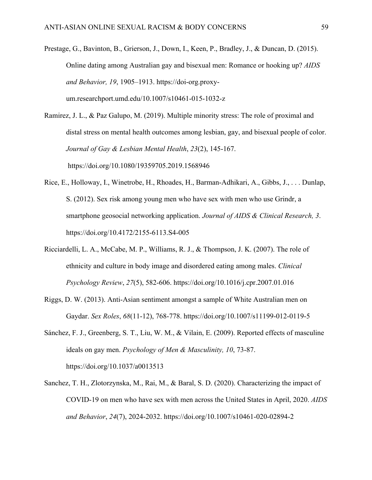Prestage, G., Bavinton, B., Grierson, J., Down, I., Keen, P., Bradley, J., & Duncan, D. (2015). Online dating among Australian gay and bisexual men: Romance or hooking up? *AIDS and Behavior, 19*, 1905–1913. https://doi-org.proxyum.researchport.umd.edu/10.1007/s10461-015-1032-z

Ramirez, J. L., & Paz Galupo, M. (2019). Multiple minority stress: The role of proximal and distal stress on mental health outcomes among lesbian, gay, and bisexual people of color. *Journal of Gay & Lesbian Mental Health*, *23*(2), 145-167. https://doi.org/10.1080/19359705.2019.1568946

- Rice, E., Holloway, I., Winetrobe, H., Rhoades, H., Barman-Adhikari, A., Gibbs, J., . . . Dunlap, S. (2012). Sex risk among young men who have sex with men who use Grindr, a smartphone geosocial networking application. *Journal of AIDS & Clinical Research, 3*. https://doi.org/10.4172/2155-6113.S4-005
- Ricciardelli, L. A., McCabe, M. P., Williams, R. J., & Thompson, J. K. (2007). The role of ethnicity and culture in body image and disordered eating among males. *Clinical Psychology Review*, *27*(5), 582-606. https://doi.org/10.1016/j.cpr.2007.01.016
- Riggs, D. W. (2013). Anti-Asian sentiment amongst a sample of White Australian men on Gaydar. *Sex Roles*, *68*(11-12), 768-778. https://doi.org/10.1007/s11199-012-0119-5
- Sánchez, F. J., Greenberg, S. T., Liu, W. M., & Vilain, E. (2009). Reported effects of masculine ideals on gay men. *Psychology of Men & Masculinity, 10*, 73-87. https://doi.org/10.1037/a0013513
- Sanchez, T. H., Zlotorzynska, M., Rai, M., & Baral, S. D. (2020). Characterizing the impact of COVID-19 on men who have sex with men across the United States in April, 2020. *AIDS and Behavior*, *24*(7), 2024-2032. https://doi.org/10.1007/s10461-020-02894-2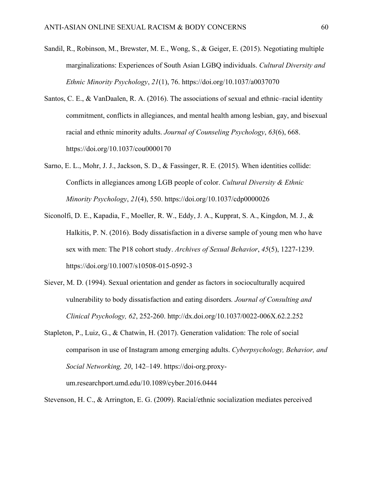- Sandil, R., Robinson, M., Brewster, M. E., Wong, S., & Geiger, E. (2015). Negotiating multiple marginalizations: Experiences of South Asian LGBQ individuals. *Cultural Diversity and Ethnic Minority Psychology*, *21*(1), 76. https://doi.org/10.1037/a0037070
- Santos, C. E., & VanDaalen, R. A. (2016). The associations of sexual and ethnic–racial identity commitment, conflicts in allegiances, and mental health among lesbian, gay, and bisexual racial and ethnic minority adults. *Journal of Counseling Psychology*, *63*(6), 668. https://doi.org/10.1037/cou0000170
- Sarno, E. L., Mohr, J. J., Jackson, S. D., & Fassinger, R. E. (2015). When identities collide: Conflicts in allegiances among LGB people of color. *Cultural Diversity & Ethnic Minority Psychology*, *21*(4), 550. https://doi.org/10.1037/cdp0000026
- Siconolfi, D. E., Kapadia, F., Moeller, R. W., Eddy, J. A., Kupprat, S. A., Kingdon, M. J., & Halkitis, P. N. (2016). Body dissatisfaction in a diverse sample of young men who have sex with men: The P18 cohort study. *Archives of Sexual Behavior*, *45*(5), 1227-1239. https://doi.org/10.1007/s10508-015-0592-3
- Siever, M. D. (1994). Sexual orientation and gender as factors in socioculturally acquired vulnerability to body dissatisfaction and eating disorders*. Journal of Consulting and Clinical Psychology, 62*, 252-260. http://dx.doi.org/10.1037/0022-006X.62.2.252
- Stapleton, P., Luiz, G., & Chatwin, H. (2017). Generation validation: The role of social comparison in use of Instagram among emerging adults. *Cyberpsychology, Behavior, and Social Networking, 20*, 142–149. https://doi-org.proxyum.researchport.umd.edu/10.1089/cyber.2016.0444

Stevenson, H. C., & Arrington, E. G. (2009). Racial/ethnic socialization mediates perceived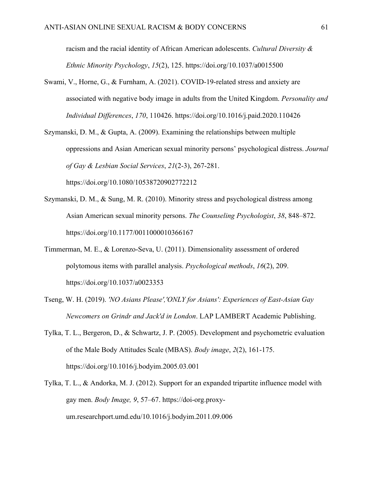racism and the racial identity of African American adolescents. *Cultural Diversity & Ethnic Minority Psychology*, *15*(2), 125. https://doi.org/10.1037/a0015500

- Swami, V., Horne, G., & Furnham, A. (2021). COVID-19-related stress and anxiety are associated with negative body image in adults from the United Kingdom. *Personality and Individual Differences*, *170*, 110426. https://doi.org/10.1016/j.paid.2020.110426
- Szymanski, D. M., & Gupta, A. (2009). Examining the relationships between multiple oppressions and Asian American sexual minority persons' psychological distress. *Journal of Gay & Lesbian Social Services*, *21*(2-3), 267-281. https://doi.org/10.1080/10538720902772212
- Szymanski, D. M., & Sung, M. R. (2010). Minority stress and psychological distress among Asian American sexual minority persons. *The Counseling Psychologist*, *38*, 848–872. https://doi.org/10.1177/0011000010366167
- Timmerman, M. E., & Lorenzo-Seva, U. (2011). Dimensionality assessment of ordered polytomous items with parallel analysis. *Psychological methods*, *16*(2), 209. https://doi.org/10.1037/a0023353
- Tseng, W. H. (2019). *'NO Asians Please','ONLY for Asians': Experiences of East-Asian Gay Newcomers on Grindr and Jack'd in London*. LAP LAMBERT Academic Publishing.
- Tylka, T. L., Bergeron, D., & Schwartz, J. P. (2005). Development and psychometric evaluation of the Male Body Attitudes Scale (MBAS). *Body image*, *2*(2), 161-175. https://doi.org/10.1016/j.bodyim.2005.03.001
- Tylka, T. L., & Andorka, M. J. (2012). Support for an expanded tripartite influence model with gay men. *Body Image, 9*, 57–67. https://doi-org.proxyum.researchport.umd.edu/10.1016/j.bodyim.2011.09.006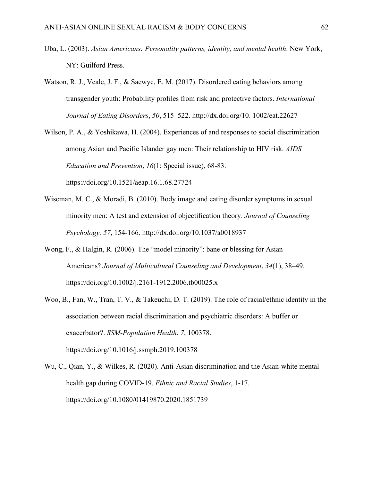- Uba, L. (2003). *Asian Americans: Personality patterns, identity, and mental health*. New York, NY: Guilford Press.
- Watson, R. J., Veale, J. F., & Saewyc, E. M. (2017). Disordered eating behaviors among transgender youth: Probability profiles from risk and protective factors. *International Journal of Eating Disorders*, *50*, 515–522. http://dx.doi.org/10. 1002/eat.22627
- Wilson, P. A., & Yoshikawa, H. (2004). Experiences of and responses to social discrimination among Asian and Pacific Islander gay men: Their relationship to HIV risk. *AIDS Education and Prevention*, *16*(1: Special issue), 68-83. https://doi.org/10.1521/aeap.16.1.68.27724
- Wiseman, M. C., & Moradi, B. (2010). Body image and eating disorder symptoms in sexual minority men: A test and extension of objectification theory. *Journal of Counseling Psychology, 57*, 154-166. http://dx.doi.org/10.1037/a0018937
- Wong, F., & Halgin, R. (2006). The "model minority": bane or blessing for Asian Americans? *Journal of Multicultural Counseling and Development*, *34*(1), 38–49. https://doi.org/10.1002/j.2161-1912.2006.tb00025.x
- Woo, B., Fan, W., Tran, T. V., & Takeuchi, D. T. (2019). The role of racial/ethnic identity in the association between racial discrimination and psychiatric disorders: A buffer or exacerbator?. *SSM-Population Health*, *7*, 100378. https://doi.org/10.1016/j.ssmph.2019.100378
- Wu, C., Qian, Y., & Wilkes, R. (2020). Anti-Asian discrimination and the Asian-white mental health gap during COVID-19. *Ethnic and Racial Studies*, 1-17. https://doi.org/10.1080/01419870.2020.1851739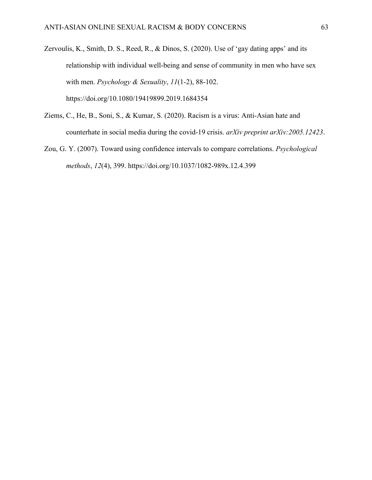- Zervoulis, K., Smith, D. S., Reed, R., & Dinos, S. (2020). Use of 'gay dating apps' and its relationship with individual well-being and sense of community in men who have sex with men. *Psychology & Sexuality*, *11*(1-2), 88-102. https://doi.org/10.1080/19419899.2019.1684354
- Ziems, C., He, B., Soni, S., & Kumar, S. (2020). Racism is a virus: Anti-Asian hate and counterhate in social media during the covid-19 crisis. *arXiv preprint arXiv:2005.12423*.
- Zou, G. Y. (2007). Toward using confidence intervals to compare correlations. *Psychological methods*, *12*(4), 399. https://doi.org/10.1037/1082-989x.12.4.399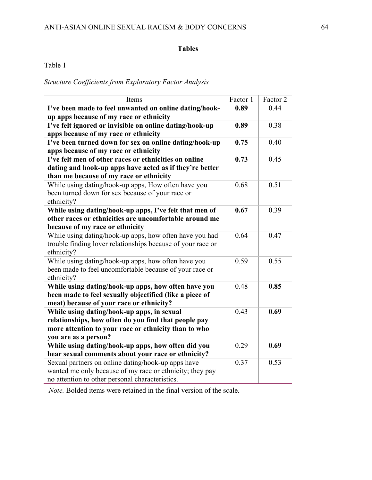Table 1

*Structure Coefficients from Exploratory Factor Analysis* 

| Items                                                       | Factor 1 | Factor 2 |
|-------------------------------------------------------------|----------|----------|
| I've been made to feel unwanted on online dating/hook-      | 0.89     | 0.44     |
| up apps because of my race or ethnicity                     |          |          |
| I've felt ignored or invisible on online dating/hook-up     | 0.89     | 0.38     |
| apps because of my race or ethnicity                        |          |          |
| I've been turned down for sex on online dating/hook-up      | 0.75     | 0.40     |
| apps because of my race or ethnicity                        |          |          |
| I've felt men of other races or ethnicities on online       | 0.73     | 0.45     |
| dating and hook-up apps have acted as if they're better     |          |          |
| than me because of my race or ethnicity                     |          |          |
| While using dating/hook-up apps, How often have you         | 0.68     | 0.51     |
| been turned down for sex because of your race or            |          |          |
| ethnicity?                                                  |          |          |
| While using dating/hook-up apps, I've felt that men of      | 0.67     | 0.39     |
| other races or ethnicities are uncomfortable around me      |          |          |
| because of my race or ethnicity                             |          |          |
| While using dating/hook-up apps, how often have you had     | 0.64     | 0.47     |
| trouble finding lover relationships because of your race or |          |          |
| ethnicity?                                                  |          |          |
| While using dating/hook-up apps, how often have you         | 0.59     | 0.55     |
| been made to feel uncomfortable because of your race or     |          |          |
| ethnicity?                                                  |          |          |
| While using dating/hook-up apps, how often have you         | 0.48     | 0.85     |
| been made to feel sexually objectified (like a piece of     |          |          |
| meat) because of your race or ethnicity?                    |          |          |
| While using dating/hook-up apps, in sexual                  | 0.43     | 0.69     |
| relationships, how often do you find that people pay        |          |          |
| more attention to your race or ethnicity than to who        |          |          |
| you are as a person?                                        |          |          |
| While using dating/hook-up apps, how often did you          | 0.29     | 0.69     |
| hear sexual comments about your race or ethnicity?          |          |          |
| Sexual partners on online dating/hook-up apps have          | 0.37     | 0.53     |
| wanted me only because of my race or ethnicity; they pay    |          |          |
| no attention to other personal characteristics.             |          |          |

*Note.* Bolded items were retained in the final version of the scale.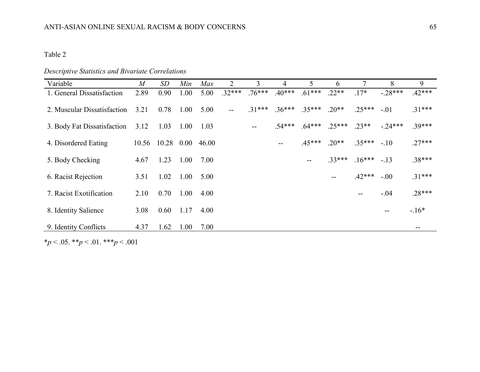# *Descriptive Statistics and Bivariate Correlations*

| Variable                    | $\boldsymbol{M}$ | SD    | Min      | Max   | $\overline{2}$ | 3        | 4        | $\mathcal{F}$ | 6        |                   | 8         | 9                 |
|-----------------------------|------------------|-------|----------|-------|----------------|----------|----------|---------------|----------|-------------------|-----------|-------------------|
| 1. General Dissatisfaction  | 2.89             | 0.90  | 1.00     | 5.00  | $.32***$       | $.76***$ | $.40***$ | $.61***$      | $.22**$  | $.17*$            | $-.28***$ | $.42***$          |
| 2. Muscular Dissatisfaction | 3.21             | 0.78  | 1.00     | 5.00  | $-$            | $.31***$ | $.36***$ | $.35***$      | $.20**$  | $.25***$          | $-.01$    | $.31***$          |
| 3. Body Fat Dissatisfaction | 3.12             | 1.03  | 1.00     | 1.03  |                |          | $.54***$ | $.64***$      | $.25***$ | $.23**$           | $-24***$  | $.39***$          |
| 4. Disordered Eating        | 10.56            | 10.28 | $0.00\,$ | 46.00 |                |          |          | $.45***$      | $.20**$  | $.35***$          | $-.10$    | $.27***$          |
| 5. Body Checking            | 4.67             | 1.23  | 1.00     | 7.00  |                |          |          | $-$           | $.33***$ | $.16***$          | $-.13$    | $.38***$          |
| 6. Racist Rejection         | 3.51             | 1.02  | 1.00     | 5.00  |                |          |          |               |          | $.42***$          | $-.00$    | $.31***$          |
| 7. Racist Exotification     | 2.10             | 0.70  | 1.00     | 4.00  |                |          |          |               |          | $\qquad \qquad -$ | $-.04$    | $.28***$          |
| 8. Identity Salience        | 3.08             | 0.60  | 1.17     | 4.00  |                |          |          |               |          |                   | --        | $-.16*$           |
| 9. Identity Conflicts       | 4.37             | 1.62  | 1.00     | 7.00  |                |          |          |               |          |                   |           | $\qquad \qquad -$ |

\**p* < .05. \*\**p* < .01. \*\*\**p* < .001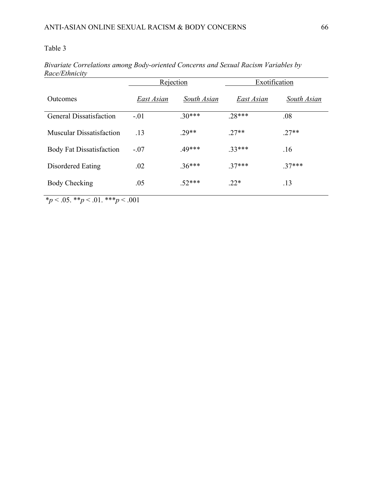|                                 | Rejection  |             | Exotification |             |  |
|---------------------------------|------------|-------------|---------------|-------------|--|
| <b>Outcomes</b>                 | East Asian | South Asian | East Asian    | South Asian |  |
| <b>General Dissatisfaction</b>  | $-.01$     | $.30***$    | $.28***$      | .08         |  |
| <b>Muscular Dissatisfaction</b> | .13        | $29**$      | $.27**$       | $27**$      |  |
| <b>Body Fat Dissatisfaction</b> | $-.07$     | .49***      | $.33***$      | .16         |  |
| Disordered Eating               | .02        | $.36***$    | $.37***$      | $.37***$    |  |
| Body Checking                   | .05        | $.52***$    | $.22*$        | .13         |  |

*Bivariate Correlations among Body-oriented Concerns and Sexual Racism Variables by Race/Ethnicity* 

\**p* < .05. \*\**p* < .01. \*\*\**p* < .001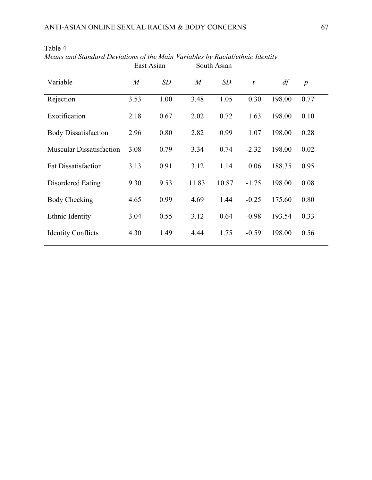|                                 | East Asian |      | South Asian    |       |                  |        |                  |
|---------------------------------|------------|------|----------------|-------|------------------|--------|------------------|
| Variable                        | M          | SD   | $\overline{M}$ | SD    | $\boldsymbol{t}$ | df     | $\boldsymbol{p}$ |
| Rejection                       | 3.53       | 1.00 | 3.48           | 1.05  | 0.30             | 198.00 | 0.77             |
| Exotification                   | 2.18       | 0.67 | 2.02           | 0.72  | 1.63             | 198.00 | 0.10             |
| <b>Body Dissatisfaction</b>     | 2.96       | 0.80 | 2.82           | 0.99  | 1.07             | 198.00 | 0.28             |
| <b>Muscular Dissatisfaction</b> | 3.08       | 0.79 | 3.34           | 0.74  | $-2.32$          | 198.00 | 0.02             |
| <b>Fat Dissatisfaction</b>      | 3.13       | 0.91 | 3.12           | 1.14  | 0.06             | 188.35 | 0.95             |
| Disordered Eating               | 9.30       | 9.53 | 11.83          | 10.87 | $-1.75$          | 198.00 | 0.08             |
| <b>Body Checking</b>            | 4.65       | 0.99 | 4.69           | 1.44  | $-0.25$          | 175.60 | 0.80             |
| Ethnic Identity                 | 3.04       | 0.55 | 3.12           | 0.64  | $-0.98$          | 193.54 | 0.33             |
| <b>Identity Conflicts</b>       | 4.30       | 1.49 | 4.44           | 1.75  | $-0.59$          | 198.00 | 0.56             |

*Means and Standard Deviations of the Main Variables by Racial/ethnic Identity*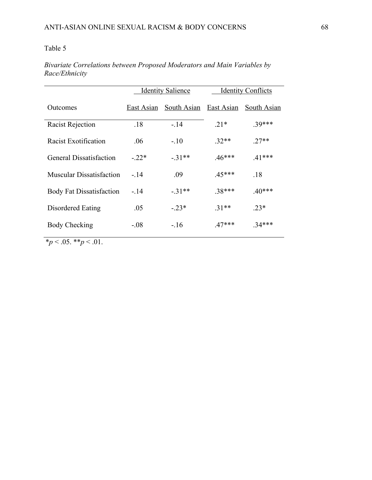|                                 | <b>Identity Salience</b> |             | <b>Identity Conflicts</b> |             |  |  |
|---------------------------------|--------------------------|-------------|---------------------------|-------------|--|--|
| <b>Outcomes</b>                 | East Asian               | South Asian | East Asian                | South Asian |  |  |
| <b>Racist Rejection</b>         | .18                      | $-.14$      | $.21*$                    | $.39***$    |  |  |
| Racist Exotification            | .06                      | $-.10$      | $.32**$                   | $.27**$     |  |  |
| <b>General Dissatisfaction</b>  | $-22*$                   | $-.31**$    | $.46***$                  | $.41***$    |  |  |
| <b>Muscular Dissatisfaction</b> | $-.14$                   | .09         | $.45***$                  | .18         |  |  |
| <b>Body Fat Dissatisfaction</b> | $-.14$                   | $-.31**$    | $.38***$                  | $.40***$    |  |  |
| Disordered Eating               | .05                      | $-.23*$     | $.31**$                   | $.23*$      |  |  |
| <b>Body Checking</b>            | $-.08$                   | $-.16$      | $.47***$                  | $.34***$    |  |  |
|                                 |                          |             |                           |             |  |  |

*Bivariate Correlations between Proposed Moderators and Main Variables by Race/Ethnicity* 

 $\overline{\ast p}$  < .05.  $\overline{\ast p}$  < .01.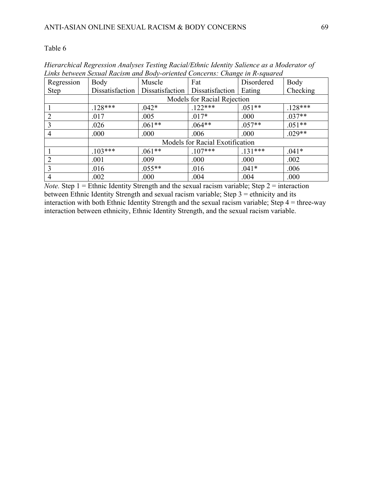| Links between sexuat Kacism and Dody-oriented Concerns. Change in K-squared |                                 |                             |                                                     |            |           |  |  |  |  |
|-----------------------------------------------------------------------------|---------------------------------|-----------------------------|-----------------------------------------------------|------------|-----------|--|--|--|--|
| Regression                                                                  | Body                            | Muscle                      | Fat                                                 | Disordered | Body      |  |  |  |  |
| <b>Step</b>                                                                 |                                 |                             | Dissatisfaction   Dissatisfaction   Dissatisfaction | Eating     | Checking  |  |  |  |  |
|                                                                             |                                 | Models for Racial Rejection |                                                     |            |           |  |  |  |  |
|                                                                             | $.128***$                       | $.042*$                     | $.122***$                                           | $.051**$   | $.128***$ |  |  |  |  |
|                                                                             | .017                            | .005                        | $.017*$                                             | .000       | $.037**$  |  |  |  |  |
| 3                                                                           | .026                            | $.061**$                    | $.064**$                                            | $.057**$   | $.051**$  |  |  |  |  |
| 4                                                                           | .000                            | .000                        | .006                                                | .000       | $.029**$  |  |  |  |  |
|                                                                             | Models for Racial Exotification |                             |                                                     |            |           |  |  |  |  |
|                                                                             | $.103***$                       | $.061**$                    | $.107***$                                           | $.131***$  | $.041*$   |  |  |  |  |
| $\overline{2}$                                                              | .001                            | .009                        | .000                                                | .000       | .002      |  |  |  |  |
| 3                                                                           | .016                            | $.055**$                    | .016                                                | $.041*$    | .006      |  |  |  |  |
| 4                                                                           | .002                            | .000                        | .004                                                | .004       | .000      |  |  |  |  |

*Hierarchical Regression Analyses Testing Racial/Ethnic Identity Salience as a Moderator of Links between Sexual Racism and Body-oriented Concerns: Change in R-squared*

*Note.* Step  $1 =$  Ethnic Identity Strength and the sexual racism variable; Step  $2 =$  interaction between Ethnic Identity Strength and sexual racism variable; Step 3 = ethnicity and its interaction with both Ethnic Identity Strength and the sexual racism variable; Step  $4 =$  three-way interaction between ethnicity, Ethnic Identity Strength, and the sexual racism variable.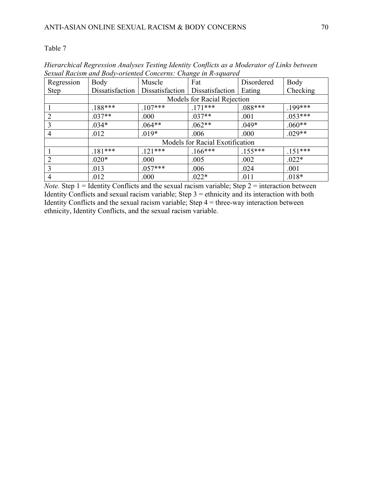| Regression     | Bennar Hacibin and Douy of ichical Concerns. Change in It by an ea<br>Body | Muscle                      | Fat                               | Disordered | Body      |  |  |  |  |
|----------------|----------------------------------------------------------------------------|-----------------------------|-----------------------------------|------------|-----------|--|--|--|--|
| <b>Step</b>    | Dissatisfaction                                                            |                             | Dissatisfaction   Dissatisfaction | Eating     | Checking  |  |  |  |  |
|                |                                                                            | Models for Racial Rejection |                                   |            |           |  |  |  |  |
|                | $.188***$                                                                  | $.107***$                   | $.171***$                         | $.088***$  | $.199***$ |  |  |  |  |
|                | $.037**$                                                                   | .000                        | $.037**$                          | .001       | $.053***$ |  |  |  |  |
|                | $.034*$                                                                    | $.064**$                    | $.062**$                          | $.049*$    | $.060**$  |  |  |  |  |
| 4              | .012                                                                       | $.019*$                     | .006                              | .000       | $.029**$  |  |  |  |  |
|                | Models for Racial Exotification                                            |                             |                                   |            |           |  |  |  |  |
|                | $.181***$                                                                  | $.121***$                   | $.166***$                         | $.155***$  | $.151***$ |  |  |  |  |
| $\overline{2}$ | $.020*$                                                                    | .000                        | .005                              | .002       | $.022*$   |  |  |  |  |
| 3              | .013                                                                       | $.057***$                   | .006                              | .024       | .001      |  |  |  |  |
| 4              | .012                                                                       | .000                        | $.022*$                           | .011       | $.018*$   |  |  |  |  |

*Hierarchical Regression Analyses Testing Identity Conflicts as a Moderator of Links between Sexual Racism and Body-oriented Concerns: Change in R-squared*

*Note.* Step  $1 =$  Identity Conflicts and the sexual racism variable; Step  $2 =$  interaction between Identity Conflicts and sexual racism variable; Step  $3 =$  ethnicity and its interaction with both Identity Conflicts and the sexual racism variable; Step  $4 =$  three-way interaction between ethnicity, Identity Conflicts, and the sexual racism variable.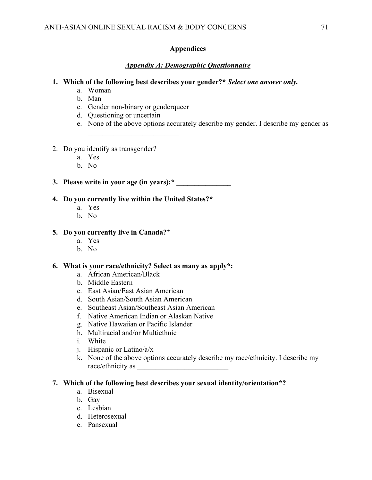## **Appendices**

## *Appendix A: Demographic Questionnaire*

### **1. Which of the following best describes your gender?\*** *Select one answer only.*

- a. Woman
- b. Man
- c. Gender non-binary or genderqueer
- d. Questioning or uncertain
- e. None of the above options accurately describe my gender. I describe my gender as
- 2. Do you identify as transgender?
	- a. Yes
	- b. No

**3. Please write in your age (in years):\* \_\_\_\_\_\_\_\_\_\_\_\_\_\_\_**

### **4. Do you currently live within the United States?\***

- a. Yes
- b. No

### **5. Do you currently live in Canada?\***

- a. Yes
- b. No

### **6. What is your race/ethnicity? Select as many as apply\*:**

- a. African American/Black
- b. Middle Eastern
- c. East Asian/East Asian American
- d. South Asian/South Asian American
- e. Southeast Asian/Southeast Asian American
- f. Native American Indian or Alaskan Native
- g. Native Hawaiian or Pacific Islander
- h. Multiracial and/or Multiethnic
- i. White
- j. Hispanic or Latino/a/x
- k. None of the above options accurately describe my race/ethnicity. I describe my race/ethnicity as

### **7. Which of the following best describes your sexual identity/orientation\*?**

- a. Bisexual
- b. Gay
- c. Lesbian
- d. Heterosexual
- e. Pansexual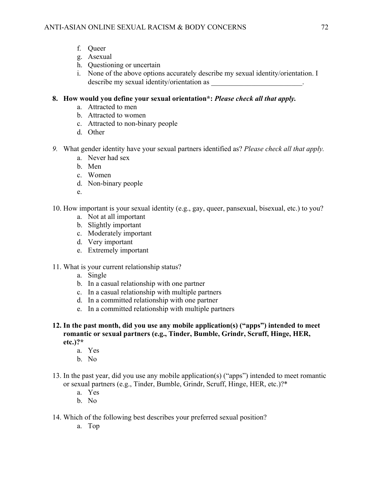- f. Queer
- g. Asexual
- h. Questioning or uncertain
- i. None of the above options accurately describe my sexual identity/orientation. I describe my sexual identity/orientation as  $\blacksquare$

## **8. How would you define your sexual orientation\*:** *Please check all that apply.*

- a. Attracted to men
- b. Attracted to women
- c. Attracted to non-binary people
- d. Other
- *9.* What gender identity have your sexual partners identified as? *Please check all that apply.* 
	- a. Never had sex
	- b. Men
	- c. Women
	- d. Non-binary people
	- e.
- 10. How important is your sexual identity (e.g., gay, queer, pansexual, bisexual, etc.) to you?
	- a. Not at all important
	- b. Slightly important
	- c. Moderately important
	- d. Very important
	- e. Extremely important

### 11. What is your current relationship status?

- a. Single
- b. In a casual relationship with one partner
- c. In a casual relationship with multiple partners
- d. In a committed relationship with one partner
- e. In a committed relationship with multiple partners
- **12. In the past month, did you use any mobile application(s) ("apps") intended to meet romantic or sexual partners (e.g., Tinder, Bumble, Grindr, Scruff, Hinge, HER, etc.)?\*** 
	- a. Yes
	- b. No
- 13. In the past year, did you use any mobile application(s) ("apps") intended to meet romantic or sexual partners (e.g., Tinder, Bumble, Grindr, Scruff, Hinge, HER, etc.)?\*
	- a. Yes
	- b. No
- 14. Which of the following best describes your preferred sexual position?
	- a. Top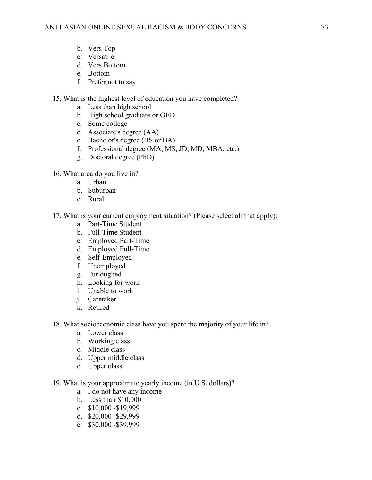- b. Vers Top
- c. Versatile
- d. Vers Bottom
- e. Bottom
- f. Prefer not to say
- 15. What is the highest level of education you have completed?
	- a. Less than high school
	- b. High school graduate or GED
	- c. Some college
	- d. Associate's degree (AA)
	- e. Bachelor's degree (BS or BA)
	- f. Professional degree (MA, MS, JD, MD, MBA, etc.)
	- g. Doctoral degree (PhD)
- 16. What area do you live in?
	- a. Urban
	- b. Suburban
	- c. Rural
- 17. What is your current employment situation? (Please select all that apply):
	- a. Part-Time Student
	- b. Full-Time Student
	- c. Employed Part-Time
	- d. Employed Full-Time
	- e. Self-Employed
	- f. Unemployed
	- g. Furloughed
	- h. Looking for work
	- i. Unable to work
	- j. Caretaker
	- k. Retired
- 18. What socioeconomic class have you spent the majority of your life in?
	- a. Lower class
	- b. Working class
	- c. Middle class
	- d. Upper middle class
	- e. Upper class
- 19. What is your approximate yearly income (in U.S. dollars)?
	- a. I do not have any income
	- b. Less than \$10,000
	- c. \$10,000 -\$19,999
	- d. \$20,000 -\$29,999
	- e. \$30,000 -\$39,999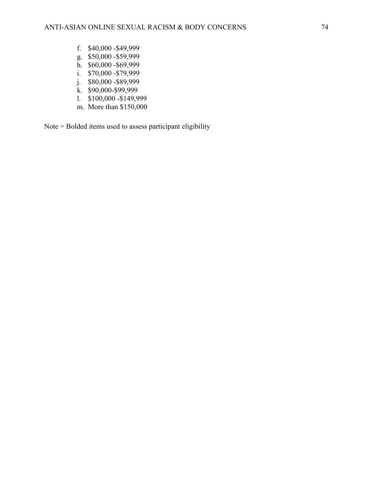- f. \$40,000 -\$49,999 g. \$50,000 -\$59,999 h. \$60,000 -\$69,999
- i. \$70,000 -\$79,999
- j. \$80,000 -\$89,999
- k. \$90,000-\$99,999
- l. \$100,000 -\$149,999
- m. More than \$150,000

Note = Bolded items used to assess participant eligibility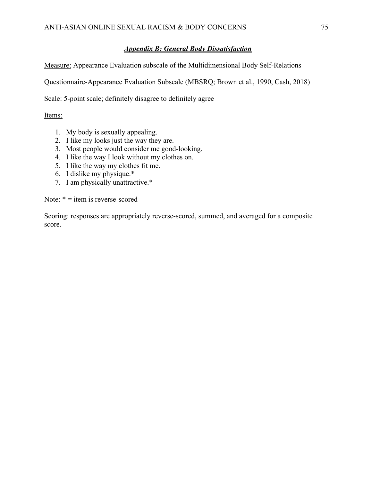## *Appendix B: General Body Dissatisfaction*

Measure: Appearance Evaluation subscale of the Multidimensional Body Self-Relations

Questionnaire-Appearance Evaluation Subscale (MBSRQ; Brown et al., 1990, Cash, 2018)

Scale: 5-point scale; definitely disagree to definitely agree

Items:

- 1. My body is sexually appealing.
- 2. I like my looks just the way they are.
- 3. Most people would consider me good-looking.
- 4. I like the way I look without my clothes on.
- 5. I like the way my clothes fit me.
- 6. I dislike my physique.\*
- 7. I am physically unattractive.\*

Note: \* = item is reverse-scored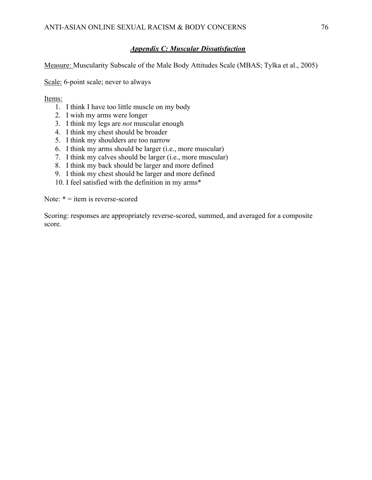## *Appendix C: Muscular Dissatisfaction*

Measure: Muscularity Subscale of the Male Body Attitudes Scale (MBAS; Tylka et al., 2005)

Scale: 6-point scale; never to always

Items:

- 1. I think I have too little muscle on my body
- 2. I wish my arms were longer
- 3. I think my legs are *not* muscular enough
- 4. I think my chest should be broader
- 5. I think my shoulders are too narrow
- 6. I think my arms should be larger (i.e., more muscular)
- 7. I think my calves should be larger (i.e., more muscular)
- 8. I think my back should be larger and more defined
- 9. I think my chest should be larger and more defined
- 10. I feel satisfied with the definition in my arms\*

Note: \* = item is reverse-scored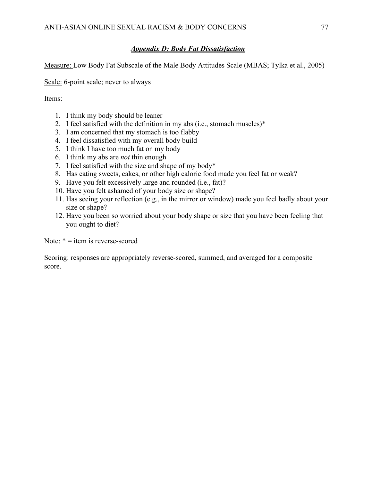## *Appendix D: Body Fat Dissatisfaction*

Measure: Low Body Fat Subscale of the Male Body Attitudes Scale (MBAS; Tylka et al., 2005)

Scale: 6-point scale; never to always

Items:

- 1. I think my body should be leaner
- 2. I feel satisfied with the definition in my abs (i.e., stomach muscles)\*
- 3. I am concerned that my stomach is too flabby
- 4. I feel dissatisfied with my overall body build
- 5. I think I have too much fat on my body
- 6. I think my abs are *not* thin enough
- 7. I feel satisfied with the size and shape of my body\*
- 8. Has eating sweets, cakes, or other high calorie food made you feel fat or weak?
- 9. Have you felt excessively large and rounded (i.e., fat)?
- 10. Have you felt ashamed of your body size or shape?
- 11. Has seeing your reflection (e.g., in the mirror or window) made you feel badly about your size or shape?
- 12. Have you been so worried about your body shape or size that you have been feeling that you ought to diet?

Note:  $* =$  item is reverse-scored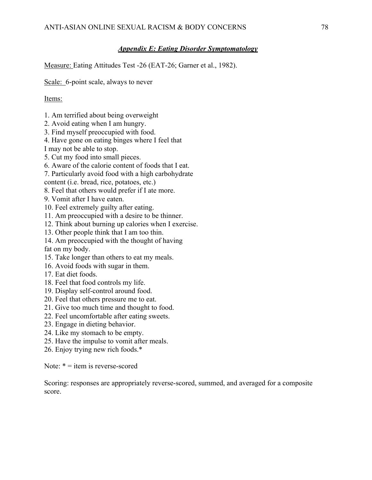#### *Appendix E: Eating Disorder Symptomatology*

Measure: Eating Attitudes Test -26 (EAT-26; Garner et al., 1982).

Scale: 6-point scale, always to never

Items:

- 1. Am terrified about being overweight
- 2. Avoid eating when I am hungry.
- 3. Find myself preoccupied with food.
- 4. Have gone on eating binges where I feel that
- I may not be able to stop.
- 5. Cut my food into small pieces.
- 6. Aware of the calorie content of foods that I eat.
- 7. Particularly avoid food with a high carbohydrate

content (i.e. bread, rice, potatoes, etc.)

- 8. Feel that others would prefer if I ate more.
- 9. Vomit after I have eaten.
- 10. Feel extremely guilty after eating.
- 11. Am preoccupied with a desire to be thinner.
- 12. Think about burning up calories when I exercise.
- 13. Other people think that I am too thin.
- 14. Am preoccupied with the thought of having

fat on my body.

- 15. Take longer than others to eat my meals.
- 16. Avoid foods with sugar in them.
- 17. Eat diet foods.
- 18. Feel that food controls my life.
- 19. Display self-control around food.
- 20. Feel that others pressure me to eat.
- 21. Give too much time and thought to food.
- 22. Feel uncomfortable after eating sweets.
- 23. Engage in dieting behavior.
- 24. Like my stomach to be empty.
- 25. Have the impulse to vomit after meals.
- 26. Enjoy trying new rich foods.\*

Note:  $* =$  item is reverse-scored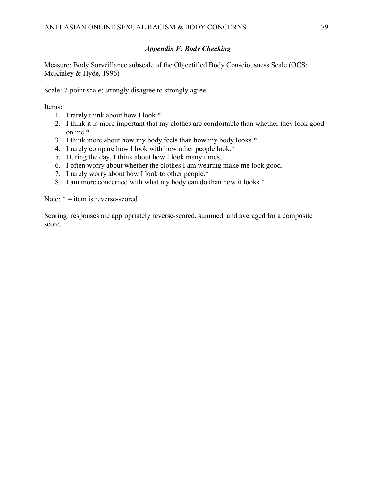## *Appendix F: Body Checking*

Measure: Body Surveillance subscale of the Objectified Body Consciousness Scale (OCS; McKinley & Hyde, 1996)

Scale: 7-point scale; strongly disagree to strongly agree

Items:

- 1. I rarely think about how I look.\*
- 2. I think it is more important that my clothes are comfortable than whether they look good on me.\*
- 3. I think more about how my body feels than how my body looks.\*
- 4. I rarely compare how I look with how other people look.\*
- 5. During the day, I think about how I look many times.
- 6. I often worry about whether the clothes I am wearing make me look good.
- 7. I rarely worry about how I look to other people.\*
- 8. I am more concerned with what my body can do than how it looks.\*

Note:  $* =$  item is reverse-scored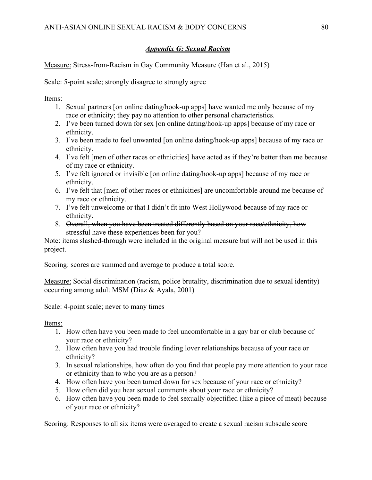# *Appendix G: Sexual Racism*

Measure: Stress-from-Racism in Gay Community Measure (Han et al., 2015)

Scale: 5-point scale; strongly disagree to strongly agree

Items:

- 1. Sexual partners [on online dating/hook-up apps] have wanted me only because of my race or ethnicity; they pay no attention to other personal characteristics.
- 2. I've been turned down for sex [on online dating/hook-up apps] because of my race or ethnicity.
- 3. I've been made to feel unwanted [on online dating/hook-up apps] because of my race or ethnicity.
- 4. I've felt [men of other races or ethnicities] have acted as if they're better than me because of my race or ethnicity.
- 5. I've felt ignored or invisible [on online dating/hook-up apps] because of my race or ethnicity.
- 6. I've felt that [men of other races or ethnicities] are uncomfortable around me because of my race or ethnicity.
- 7. I've felt unwelcome or that I didn't fit into West Hollywood because of my race or ethnicity.
- 8. Overall, when you have been treated differently based on your race/ethnicity, how stressful have these experiences been for you?

Note: items slashed-through were included in the original measure but will not be used in this project.

Scoring: scores are summed and average to produce a total score.

Measure: Social discrimination (racism, police brutality, discrimination due to sexual identity) occurring among adult MSM (Diaz & Ayala, 2001)

Scale: 4-point scale; never to many times

Items:

- 1. How often have you been made to feel uncomfortable in a gay bar or club because of your race or ethnicity?
- 2. How often have you had trouble finding lover relationships because of your race or ethnicity?
- 3. In sexual relationships, how often do you find that people pay more attention to your race or ethnicity than to who you are as a person?
- 4. How often have you been turned down for sex because of your race or ethnicity?
- 5. How often did you hear sexual comments about your race or ethnicity?
- 6. How often have you been made to feel sexually objectified (like a piece of meat) because of your race or ethnicity?

Scoring: Responses to all six items were averaged to create a sexual racism subscale score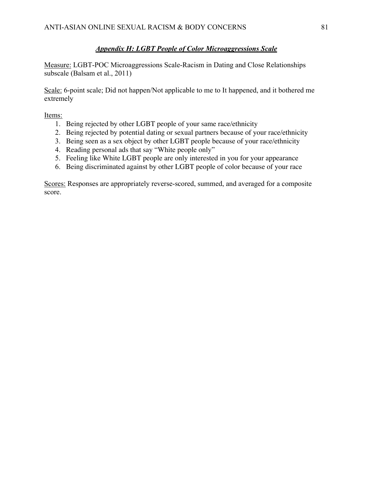## *Appendix H: LGBT People of Color Microaggressions Scale*

Measure: LGBT-POC Microaggressions Scale-Racism in Dating and Close Relationships subscale (Balsam et al., 2011)

Scale: 6-point scale; Did not happen/Not applicable to me to It happened, and it bothered me extremely

Items:

- 1. Being rejected by other LGBT people of your same race/ethnicity
- 2. Being rejected by potential dating or sexual partners because of your race/ethnicity
- 3. Being seen as a sex object by other LGBT people because of your race/ethnicity
- 4. Reading personal ads that say "White people only"
- 5. Feeling like White LGBT people are only interested in you for your appearance
- 6. Being discriminated against by other LGBT people of color because of your race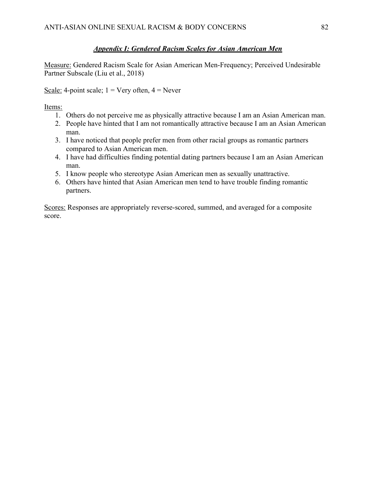## *Appendix I: Gendered Racism Scales for Asian American Men*

Measure: Gendered Racism Scale for Asian American Men-Frequency; Perceived Undesirable Partner Subscale (Liu et al., 2018)

Scale: 4-point scale;  $1 = \text{Very often}, 4 = \text{Never}$ 

Items:

- 1. Others do not perceive me as physically attractive because I am an Asian American man.
- 2. People have hinted that I am not romantically attractive because I am an Asian American man.
- 3. I have noticed that people prefer men from other racial groups as romantic partners compared to Asian American men.
- 4. I have had difficulties finding potential dating partners because I am an Asian American man.
- 5. I know people who stereotype Asian American men as sexually unattractive.
- 6. Others have hinted that Asian American men tend to have trouble finding romantic partners.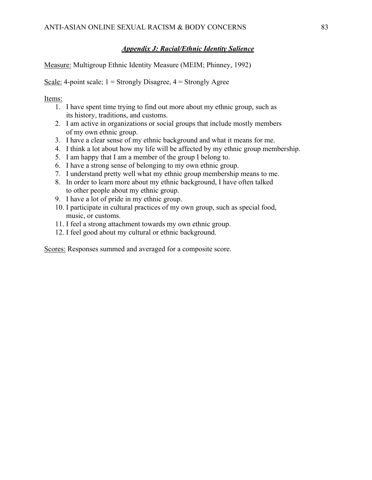#### *Appendix J: Racial/Ethnic Identity Salience*

Measure: Multigroup Ethnic Identity Measure (MEIM; Phinney, 1992)

Scale: 4-point scale;  $1 =$  Strongly Disagree,  $4 =$  Strongly Agree

Items:

- 1. I have spent time trying to find out more about my ethnic group, such as its history, traditions, and customs.
- 2. I am active in organizations or social groups that include mostly members of my own ethnic group.
- 3. I have a clear sense of my ethnic background and what it means for me.
- 4. I think a lot about how my life will be affected by my ethnic group membership.
- 5. I am happy that I am a member of the group I belong to.
- 6. I have a strong sense of belonging to my own ethnic group.
- 7. I understand pretty well what my ethnic group membership means to me.
- 8. In order to learn more about my ethnic background, I have often talked to other people about my ethnic group.
- 9. I have a lot of pride in my ethnic group.
- 10. I participate in cultural practices of my own group, such as special food, music, or customs.
- 11. I feel a strong attachment towards my own ethnic group.
- 12. I feel good about my cultural or ethnic background.

Scores: Responses summed and averaged for a composite score.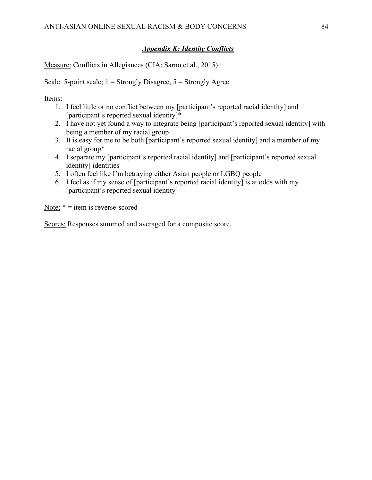## *Appendix K: Identity Conflicts*

Measure: Conflicts in Allegiances (CIA; Sarno et al., 2015)

Scale: 5-point scale;  $1 =$  Strongly Disagree,  $5 =$  Strongly Agree

Items:

- 1. I feel little or no conflict between my [participant's reported racial identity] and [participant's reported sexual identity]\*
- 2. I have not yet found a way to integrate being [participant's reported sexual identity] with being a member of my racial group
- 3. It is easy for me to be both [participant's reported sexual identity] and a member of my racial group\*
- 4. I separate my [participant's reported racial identity] and [participant's reported sexual identity] identities
- 5. I often feel like I'm betraying either Asian people or LGBQ people
- 6. I feel as if my sense of [participant's reported racial identity] is at odds with my [participant's reported sexual identity]

Note: \* = item is reverse-scored

Scores: Responses summed and averaged for a composite score.